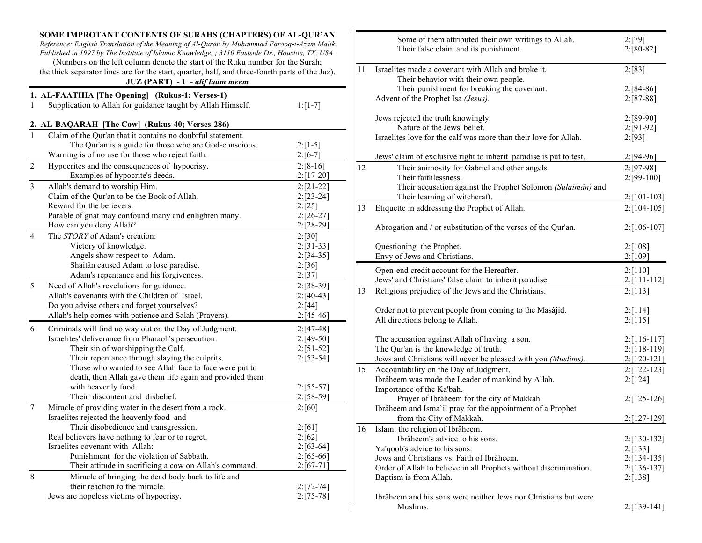|                | SOME IMPROTANT CONTENTS OF SURAHS (CHAPTERS) OF AL-QUR'AN<br>Reference: English Translation of the Meaning of Al-Quran by Muhammad Farooq-i-Azam Malik<br>Published in 1997 by The Institute of Islamic Knowledge, ; 3110 Eastside Dr., Houston, TX, USA.<br>(Numbers on the left column denote the start of the Ruku number for the Surah; |                              |    | Some<br>Their                   |
|----------------|---------------------------------------------------------------------------------------------------------------------------------------------------------------------------------------------------------------------------------------------------------------------------------------------------------------------------------------------|------------------------------|----|---------------------------------|
|                | the thick separator lines are for the start, quarter, half, and three-fourth parts of the Juz).<br>JUZ (PART) - 1 - alif laam meem                                                                                                                                                                                                          |                              | 11 | Israelites ma<br>Their<br>Their |
|                | 1. AL-FAATIHA [The Opening] (Rukus-1; Verses-1)                                                                                                                                                                                                                                                                                             |                              |    | Advent of th                    |
| 1              | Supplication to Allah for guidance taught by Allah Himself.                                                                                                                                                                                                                                                                                 | $1: [1-7]$                   |    |                                 |
|                | 2. AL-BAQARAH [The Cow] (Rukus-40; Verses-286)                                                                                                                                                                                                                                                                                              |                              |    | Jews rejected<br>Nature         |
| $\mathbf{1}$   | Claim of the Qur'an that it contains no doubtful statement.                                                                                                                                                                                                                                                                                 |                              |    | Israelites lov                  |
|                | The Qur'an is a guide for those who are God-conscious.                                                                                                                                                                                                                                                                                      | $2: [1-5]$                   |    |                                 |
|                | Warning is of no use for those who reject faith.                                                                                                                                                                                                                                                                                            | $2: [6-7]$                   |    | Jews' claim                     |
| $\overline{2}$ | Hypocrites and the consequences of hypocrisy.                                                                                                                                                                                                                                                                                               | $2: [8-16]$                  | 12 | Their                           |
|                | Examples of hypocrite's deeds.                                                                                                                                                                                                                                                                                                              | $2: [17-20]$                 |    | Their                           |
| $\overline{3}$ | Allah's demand to worship Him.                                                                                                                                                                                                                                                                                                              | $2: [21-22]$                 |    | Their                           |
|                | Claim of the Qur'an to be the Book of Allah.                                                                                                                                                                                                                                                                                                | $2: [23-24]$                 |    | Their                           |
|                | Reward for the believers.                                                                                                                                                                                                                                                                                                                   | 2:[25]                       | 13 | Etiquette in a                  |
|                | Parable of gnat may confound many and enlighten many.<br>How can you deny Allah?                                                                                                                                                                                                                                                            | $2: [26-27]$                 |    |                                 |
|                |                                                                                                                                                                                                                                                                                                                                             | $2: [28-29]$                 |    | Abrogation a                    |
| $\overline{4}$ | The <i>STORY</i> of Adam's creation:<br>Victory of knowledge.                                                                                                                                                                                                                                                                               | 2: [30]                      |    |                                 |
|                | Angels show respect to Adam.                                                                                                                                                                                                                                                                                                                | $2: [31-33]$<br>$2: [34-35]$ |    | Questioning                     |
|                | Shaitân caused Adam to lose paradise.                                                                                                                                                                                                                                                                                                       | 2: [36]                      |    | Envy of Jew                     |
|                | Adam's repentance and his forgiveness.                                                                                                                                                                                                                                                                                                      | 2:[37]                       |    | Open-end cr                     |
| 5              | Need of Allah's revelations for guidance.                                                                                                                                                                                                                                                                                                   | $2: [38-39]$                 |    | Jews' and Ch                    |
|                | Allah's covenants with the Children of Israel.                                                                                                                                                                                                                                                                                              | $2: [40-43]$                 | 13 | Religious pro                   |
|                | Do you advise others and forget yourselves?                                                                                                                                                                                                                                                                                                 | 2: [44]                      |    |                                 |
|                | Allah's help comes with patience and Salah (Prayers).                                                                                                                                                                                                                                                                                       | $2:[45-46]$                  |    | Order not to                    |
| 6              | Criminals will find no way out on the Day of Judgment.                                                                                                                                                                                                                                                                                      | $2: [47-48]$                 |    | All direction                   |
|                | Israelites' deliverance from Pharaoh's persecution:                                                                                                                                                                                                                                                                                         | $2: [49-50]$                 |    | The accusati                    |
|                | Their sin of worshipping the Calf.                                                                                                                                                                                                                                                                                                          | $2: [51-52]$                 |    | The Qur'an i                    |
|                | Their repentance through slaying the culprits.                                                                                                                                                                                                                                                                                              | $2: [53-54]$                 |    | Jews and Ch                     |
|                | Those who wanted to see Allah face to face were put to                                                                                                                                                                                                                                                                                      |                              | 15 | Accountabili                    |
|                | death, then Allah gave them life again and provided them                                                                                                                                                                                                                                                                                    |                              |    | Ibrâheem wa                     |
|                | with heavenly food.                                                                                                                                                                                                                                                                                                                         | $2: [55-57]$                 |    | Importance o                    |
|                | Their discontent and disbelief.                                                                                                                                                                                                                                                                                                             | $2: [58-59]$                 |    | Prayer                          |
| $\overline{7}$ | Miracle of providing water in the desert from a rock.                                                                                                                                                                                                                                                                                       | 2:[60]                       |    | Ibrâheem an                     |
|                | Israelites rejected the heavenly food and                                                                                                                                                                                                                                                                                                   |                              |    | from t                          |
|                | Their disobedience and transgression.                                                                                                                                                                                                                                                                                                       | 2:[61]                       | 16 | Islam: the re                   |
|                | Real believers have nothing to fear or to regret.                                                                                                                                                                                                                                                                                           | 2: [62]                      |    | Ibrâhe                          |
|                | Israelites covenant with Allah:                                                                                                                                                                                                                                                                                                             | $2: [63-64]$                 |    | Ya'qoob's ad                    |
|                | Punishment for the violation of Sabbath.                                                                                                                                                                                                                                                                                                    | $2: [65-66]$                 |    | Jews and Ch                     |
|                | Their attitude in sacrificing a cow on Allah's command.                                                                                                                                                                                                                                                                                     | $2: [67-71]$                 |    | Order of Alla                   |
| 8              | Miracle of bringing the dead body back to life and                                                                                                                                                                                                                                                                                          |                              |    | Baptism is fr                   |
|                | their reaction to the miracle.                                                                                                                                                                                                                                                                                                              | $2: [72-74]$                 |    |                                 |
|                | Jews are hopeless victims of hypocrisy.                                                                                                                                                                                                                                                                                                     | $2:[75-78]$                  |    | Ibrâheem an<br>Muslin           |

|    | Some of them attributed their own writings to Allah.               | 2:[79]           |
|----|--------------------------------------------------------------------|------------------|
|    | Their false claim and its punishment.                              | $2: [80-82]$     |
|    |                                                                    |                  |
|    |                                                                    |                  |
| 11 | Israelites made a covenant with Allah and broke it.                | 2: [83]          |
|    | Their behavior with their own people.                              |                  |
|    | Their punishment for breaking the covenant.                        | $2: [84-86]$     |
|    | Advent of the Prophet Isa (Jesus).                                 | $2: [87-88]$     |
|    |                                                                    |                  |
|    | Jews rejected the truth knowingly.                                 | 2:[89-90]        |
|    | Nature of the Jews' belief.                                        | 2:[91-92]        |
|    | Israelites love for the calf was more than their love for Allah.   | 2: [93]          |
|    |                                                                    |                  |
|    | Jews' claim of exclusive right to inherit paradise is put to test. | $2:[94-96]$      |
| 12 | Their animosity for Gabriel and other angels.                      | 2:[97-98]        |
|    | Their faithlessness.                                               | 2:[99-100]       |
|    | Their accusation against the Prophet Solomon (Sulaimân) and        |                  |
|    | Their learning of witchcraft.                                      | $2:[101-103]$    |
| 13 | Etiquette in addressing the Prophet of Allah.                      | $2: [104-105]$   |
|    |                                                                    |                  |
|    | Abrogation and / or substitution of the verses of the Qur'an.      | 2:[106-107]      |
|    |                                                                    |                  |
|    | Questioning the Prophet.                                           | 2: [108]         |
|    | Envy of Jews and Christians.                                       | 2: [109]         |
|    |                                                                    |                  |
|    | Open-end credit account for the Hereafter.                         | 2: [110]         |
|    | Jews' and Christians' false claim to inherit paradise.             | $2:[111-112]$    |
| 13 | Religious prejudice of the Jews and the Christians.                | 2: [113]         |
|    |                                                                    |                  |
|    | Order not to prevent people from coming to the Masâjid.            | 2:[114]          |
|    | All directions belong to Allah.                                    | 2: [115]         |
|    |                                                                    |                  |
|    | The accusation against Allah of having a son.                      | $2: [116-117]$   |
|    | The Qur'an is the knowledge of truth.                              | 2:[118-119]      |
|    | Jews and Christians will never be pleased with you (Muslims).      | $2:[120-121]$    |
|    |                                                                    |                  |
| 15 | Accountability on the Day of Judgment.                             | $2: [122 - 123]$ |
|    | Ibrâheem was made the Leader of mankind by Allah.                  | 2: [124]         |
|    | Importance of the Ka'bah.                                          |                  |
|    | Prayer of Ibrâheem for the city of Makkah.                         | $2: [125-126]$   |
|    | Ibrâheem and Isma'il pray for the appointment of a Prophet         |                  |
|    | from the City of Makkah.                                           | 2:[127-129]      |
| 16 | Islam: the religion of Ibrâheem.                                   |                  |
|    | Ibrâheem's advice to his sons.                                     | 2:[130-132]      |
|    | Ya'qoob's advice to his sons.                                      | 2: [133]         |
|    | Jews and Christians vs. Faith of Ibrâheem.                         | $2: [134-135]$   |
|    | Order of Allah to believe in all Prophets without discrimination.  | $2: [136-137]$   |
|    | Baptism is from Allah.                                             | 2: [138]         |
|    |                                                                    |                  |
|    | Ibrâheem and his sons were neither Jews nor Christians but were    |                  |
|    | Muslims.                                                           | 2:[139-141]      |
|    |                                                                    |                  |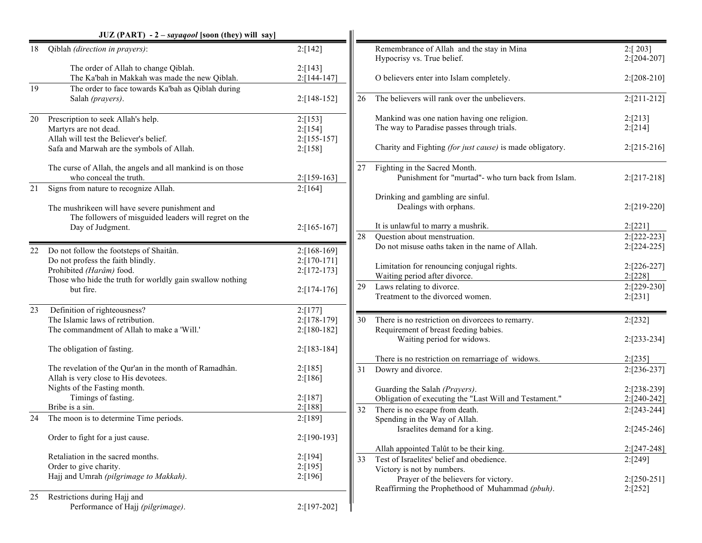|    | $JUZ (PART) - 2 - say aqool$ [soon (they) will say]                       |                      |    |                                                                         |                         |
|----|---------------------------------------------------------------------------|----------------------|----|-------------------------------------------------------------------------|-------------------------|
| 18 | Qiblah (direction in prayers):                                            | 2: [142]             |    | Remembrance of Allah and the stay in Mina<br>Hypocrisy vs. True belief. | 2: [203]<br>2:[204-207] |
|    | The order of Allah to change Qiblah.                                      | 2: [143]             |    |                                                                         |                         |
|    | The Ka'bah in Makkah was made the new Qiblah.                             | 2:[144-147]          |    | O believers enter into Islam completely.                                | $2:[208-210]$           |
| 19 | The order to face towards Ka'bah as Qiblah during                         |                      |    |                                                                         |                         |
|    | Salah (prayers).                                                          | $2: [148-152]$       | 26 | The believers will rank over the unbelievers.                           | $2: [211-212]$          |
| 20 | Prescription to seek Allah's help.                                        | 2:[153]              |    | Mankind was one nation having one religion.                             | 2:[213]                 |
|    | Martyrs are not dead.                                                     | 2: [154]             |    | The way to Paradise passes through trials.                              | 2:[214]                 |
|    | Allah will test the Believer's belief.                                    | $2: [155-157]$       |    |                                                                         |                         |
|    | Safa and Marwah are the symbols of Allah.                                 | 2:[158]              |    | Charity and Fighting <i>(for just cause)</i> is made obligatory.        | $2:[215-216]$           |
|    | The curse of Allah, the angels and all mankind is on those                |                      | 27 | Fighting in the Sacred Month.                                           |                         |
|    | who conceal the truth.                                                    | $2: [159-163]$       |    | Punishment for "murtad"- who turn back from Islam.                      | $2:[217-218]$           |
| 21 | Signs from nature to recognize Allah.                                     | 2:[164]              |    |                                                                         |                         |
|    |                                                                           |                      |    | Drinking and gambling are sinful.                                       |                         |
|    | The mushrikeen will have severe punishment and                            |                      |    | Dealings with orphans.                                                  | $2:[219-220]$           |
|    | The followers of misguided leaders will regret on the<br>Day of Judgment. | $2: [165-167]$       |    | It is unlawful to marry a mushrik.                                      | 2: [221]                |
|    |                                                                           |                      | 28 | Ouestion about menstruation.                                            | 2:[222-223]             |
|    |                                                                           |                      |    | Do not misuse oaths taken in the name of Allah.                         | 2:[224-225]             |
|    | 22 Do not follow the footsteps of Shaitân.                                | $2: [168-169]$       |    |                                                                         |                         |
|    | Do not profess the faith blindly.                                         | $2: [170-171]$       |    | Limitation for renouncing conjugal rights.                              | $2:[226-227]$           |
|    | Prohibited (Harâm) food.                                                  | $2: [172 - 173]$     |    | Waiting period after divorce.                                           | 2: [228]                |
|    | Those who hide the truth for worldly gain swallow nothing<br>but fire.    | $2: [174-176]$       | 29 | Laws relating to divorce.                                               | 2:[229-230]             |
|    |                                                                           |                      |    | Treatment to the divorced women.                                        | 2:[231]                 |
| 23 | Definition of righteousness?                                              | 2: [177]             |    |                                                                         |                         |
|    | The Islamic laws of retribution.                                          | $2: [178-179]$       | 30 | There is no restriction on divorcees to remarry.                        | 2:[232]                 |
|    | The commandment of Allah to make a 'Will.'                                | $2:[180-182]$        |    | Requirement of breast feeding babies.                                   |                         |
|    |                                                                           |                      |    | Waiting period for widows.                                              | 2:[233-234]             |
|    | The obligation of fasting.                                                | $2: [183 - 184]$     |    |                                                                         |                         |
|    |                                                                           |                      |    | There is no restriction on remarriage of widows.                        | 2: [235]                |
|    | The revelation of the Qur'an in the month of Ramadhân.                    | 2: [185]             | 31 | Dowry and divorce.                                                      | $2: [236-237]$          |
|    | Allah is very close to His devotees.                                      | 2: [186]             |    |                                                                         |                         |
|    | Nights of the Fasting month.                                              |                      |    | Guarding the Salah (Prayers).                                           | 2:[238-239]             |
|    | Timings of fasting.<br>Bribe is a sin.                                    | 2: [187]<br>2: [188] |    | Obligation of executing the "Last Will and Testament."                  | 2:[240-242]             |
|    | The moon is to determine Time periods.                                    |                      | 32 | There is no escape from death.                                          | $2:[243-244]$           |
| 24 |                                                                           | 2:[189]              |    | Spending in the Way of Allah.                                           |                         |
|    | Order to fight for a just cause.                                          | 2:[190-193]          |    | Israelites demand for a king.                                           | $2:[245-246]$           |
|    |                                                                           |                      |    | Allah appointed Talût to be their king.                                 | 2:[247-248]             |
|    | Retaliation in the sacred months.                                         | 2: [194]             | 33 | Test of Israelites' belief and obedience.                               | 2:[249]                 |
|    | Order to give charity.                                                    | 2:[195]              |    | Victory is not by numbers.                                              |                         |
|    | Hajj and Umrah (pilgrimage to Makkah).                                    | 2:[196]              |    | Prayer of the believers for victory.                                    | $2:[250-251]$           |
|    |                                                                           |                      |    | Reaffirming the Prophethood of Muhammad (pbuh).                         | 2:[252]                 |
| 25 | Restrictions during Hajj and                                              |                      |    |                                                                         |                         |
|    | Performance of Hajj (pilgrimage).                                         | 2:[197-202]          |    |                                                                         |                         |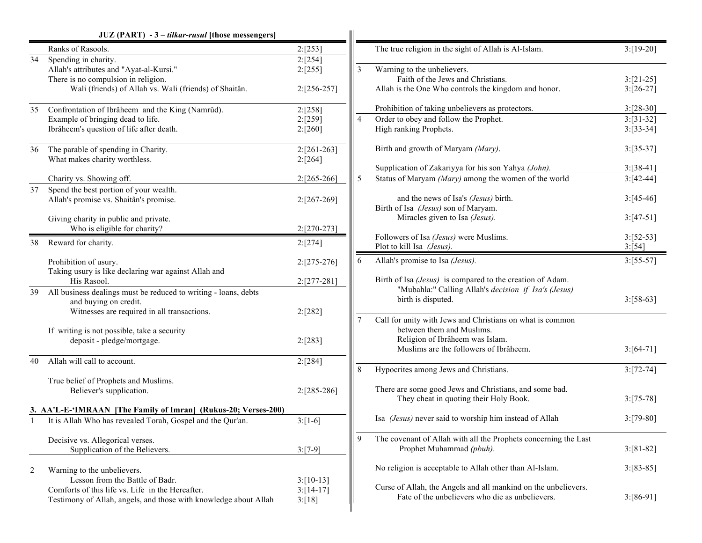|    | JUZ (PART) - 3 - tilkar-rusul [those messengers]                                                                                                                 |                                        |                |                                                                                                                                                                     |                                            |
|----|------------------------------------------------------------------------------------------------------------------------------------------------------------------|----------------------------------------|----------------|---------------------------------------------------------------------------------------------------------------------------------------------------------------------|--------------------------------------------|
|    | Ranks of Rasools.                                                                                                                                                | 2: [253]                               |                | The true religion in the sight of Allah is Al-Islam.                                                                                                                | $3:[19-20]$                                |
| 34 | Spending in charity.<br>Allah's attributes and "Ayat-al-Kursi."<br>There is no compulsion in religion.<br>Wali (friends) of Allah vs. Wali (friends) of Shaitân. | 2:[254]<br>2:[255]<br>$2: [256-257]$   | 3              | Warning to the unbelievers.<br>Faith of the Jews and Christians.<br>Allah is the One Who controls the kingdom and honor.                                            | $3:[21-25]$<br>$3:[26-27]$                 |
| 35 | Confrontation of Ibrâheem and the King (Namrûd).<br>Example of bringing dead to life.<br>Ibrâheem's question of life after death.                                | 2:[258]<br>2:[259]<br>2:[260]          | $\overline{4}$ | Prohibition of taking unbelievers as protectors.<br>Order to obey and follow the Prophet.<br>High ranking Prophets.                                                 | $3:[28-30]$<br>$3: [31-32]$<br>$3:[33-34]$ |
| 36 | The parable of spending in Charity.<br>What makes charity worthless.                                                                                             | $2: [261-263]$<br>2:[264]              |                | Birth and growth of Maryam (Mary).<br>Supplication of Zakariyya for his son Yahya (John).                                                                           | $3:[35-37]$<br>$3:[38-41]$                 |
|    | Charity vs. Showing off.                                                                                                                                         | $2:[265-266]$                          | 5              | Status of Maryam (Mary) among the women of the world                                                                                                                | $3:[42-44]$                                |
| 37 | Spend the best portion of your wealth.<br>Allah's promise vs. Shaitân's promise.                                                                                 | $2:[267-269]$                          |                | and the news of Isa's (Jesus) birth.<br>Birth of Isa (Jesus) son of Maryam.                                                                                         | $3:[45-46]$                                |
|    | Giving charity in public and private.<br>Who is eligible for charity?                                                                                            | 2:[270-273]                            |                | Miracles given to Isa (Jesus).                                                                                                                                      | $3:[47-51]$                                |
| 38 | Reward for charity.                                                                                                                                              | 2:[274]                                |                | Followers of Isa (Jesus) were Muslims.<br>Plot to kill Isa (Jesus).                                                                                                 | $3:[52-53]$<br>3:[54]                      |
|    | Prohibition of usury.<br>Taking usury is like declaring war against Allah and                                                                                    | $2:[275-276]$                          | 6              | Allah's promise to Isa (Jesus).                                                                                                                                     | $3: [55-57]$                               |
| 39 | His Rasool.<br>All business dealings must be reduced to writing - loans, debts<br>and buying on credit.<br>Witnesses are required in all transactions.           | 2:[277-281]<br>2:[282]                 |                | Birth of Isa (Jesus) is compared to the creation of Adam.<br>"Mubahla:" Calling Allah's decision if Isa's (Jesus)<br>birth is disputed.                             | $3:[58-63]$                                |
|    | If writing is not possible, take a security<br>deposit - pledge/mortgage.                                                                                        | 2:[283]                                |                | Call for unity with Jews and Christians on what is common<br>between them and Muslims.<br>Religion of Ibrâheem was Islam.<br>Muslims are the followers of Ibrâheem. | $3: [64-71]$                               |
| 40 | Allah will call to account.                                                                                                                                      | 2:[284]                                | 8              | Hypocrites among Jews and Christians.                                                                                                                               | $3: [72-74]$                               |
|    | True belief of Prophets and Muslims.<br>Believer's supplication.                                                                                                 | $2: [285-286]$                         |                | There are some good Jews and Christians, and some bad.<br>They cheat in quoting their Holy Book.                                                                    | $3: [75-78]$                               |
|    | 3. AA'L-E-'IMRAAN [The Family of Imran] (Rukus-20; Verses-200)                                                                                                   |                                        |                |                                                                                                                                                                     |                                            |
|    | It is Allah Who has revealed Torah, Gospel and the Qur'an.                                                                                                       | $3:[1-6]$                              |                | Isa (Jesus) never said to worship him instead of Allah                                                                                                              | $3: [79-80]$                               |
|    | Decisive vs. Allegorical verses.<br>Supplication of the Believers.                                                                                               | $3:[7-9]$                              | 9              | The covenant of Allah with all the Prophets concerning the Last<br>Prophet Muhammad (pbuh).                                                                         | $3: [81-82]$                               |
| 2  | Warning to the unbelievers.                                                                                                                                      |                                        |                | No religion is acceptable to Allah other than Al-Islam.                                                                                                             | $3: [83-85]$                               |
|    | Lesson from the Battle of Badr.<br>Comforts of this life vs. Life in the Hereafter.<br>Testimony of Allah, angels, and those with knowledge about Allah          | $3: [10-13]$<br>$3: [14-17]$<br>3:[18] |                | Curse of Allah, the Angels and all mankind on the unbelievers.<br>Fate of the unbelievers who die as unbelievers.                                                   | $3:[86-91]$                                |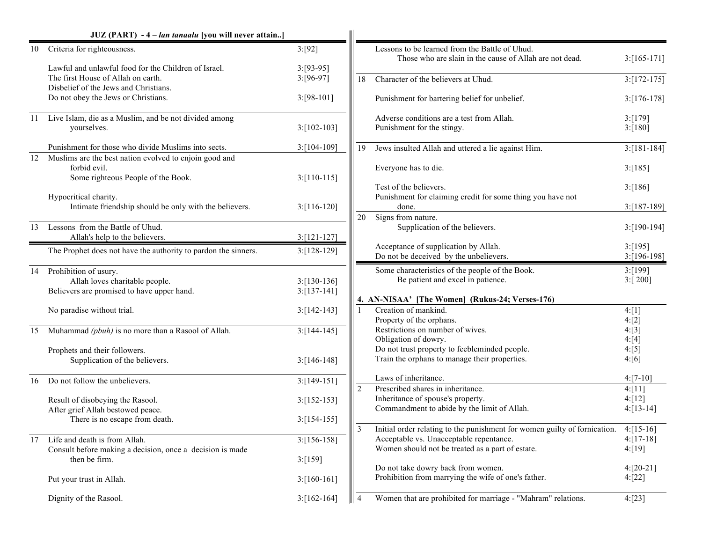|    | JUZ (PART) - 4 – lan tanaalu [you will never attain]                                                  |                                |                |                                                                                                                                         |                           |
|----|-------------------------------------------------------------------------------------------------------|--------------------------------|----------------|-----------------------------------------------------------------------------------------------------------------------------------------|---------------------------|
| 10 | Criteria for righteousness.                                                                           | 3: [92]                        |                | Lessons to be learned from the Battle of Uhud.<br>Those who are slain in the cause of Allah are not dead.                               | $3:[165-171]$             |
|    | Lawful and unlawful food for the Children of Israel.<br>The first House of Allah on earth.            | $3: [93-95]$<br>$3: [96-97]$   | 18             | Character of the believers at Uhud.                                                                                                     | $3:[172-175]$             |
|    | Disbelief of the Jews and Christians.<br>Do not obey the Jews or Christians.                          | $3: [98-101]$                  |                | Punishment for bartering belief for unbelief.                                                                                           | $3:[176-178]$             |
|    | 11 Live Islam, die as a Muslim, and be not divided among<br>yourselves.                               | $3: [102 - 103]$               |                | Adverse conditions are a test from Allah.<br>Punishment for the stingy.                                                                 | 3: [179]<br>3: [180]      |
|    | Punishment for those who divide Muslims into sects.                                                   | $3:[104-109]$                  | 19             | Jews insulted Allah and uttered a lie against Him.                                                                                      | $3: [181-184]$            |
| 12 | Muslims are the best nation evolved to enjoin good and<br>forbid evil.                                |                                |                | Everyone has to die.                                                                                                                    | 3:[185]                   |
|    | Some righteous People of the Book.<br>Hypocritical charity.                                           | $3:[110-115]$                  |                | Test of the believers.<br>Punishment for claiming credit for some thing you have not                                                    | 3: [186]                  |
|    | Intimate friendship should be only with the believers.                                                | $3:[116-120]$                  |                | done.                                                                                                                                   | $3:[187-189]$             |
| 13 | Lessons from the Battle of Uhud.<br>Allah's help to the believers.                                    | $3:[121-127]$                  | 20             | Signs from nature.<br>Supplication of the believers.                                                                                    | $3:[190-194]$             |
|    | The Prophet does not have the authority to pardon the sinners.                                        | $3: [128-129]$                 |                | Acceptance of supplication by Allah.<br>Do not be deceived by the unbelievers.                                                          | 3: [195]<br>$3:[196-198]$ |
| 14 | Prohibition of usury.<br>Allah loves charitable people.<br>Believers are promised to have upper hand. | $3:[130-136]$<br>$3:[137-141]$ |                | Some characteristics of the people of the Book.<br>Be patient and excel in patience.<br>4. AN-NISAA' [The Women] (Rukus-24; Verses-176) | 3: [199]<br>3:[200]       |
|    | No paradise without trial.                                                                            | $3: [142 - 143]$               |                | Creation of mankind.<br>Property of the orphans.                                                                                        | 4: [1]<br>4:[2]           |
| 15 | Muhammad (pbuh) is no more than a Rasool of Allah.                                                    | $3: [144-145]$                 |                | Restrictions on number of wives.<br>Obligation of dowry.<br>Do not trust property to feebleminded people.                               | 4: [3]<br>4:[4]<br>4: [5] |
|    | Prophets and their followers.<br>Supplication of the believers.                                       | $3:[146-148]$                  |                | Train the orphans to manage their properties.                                                                                           | 4:[6]                     |
| 16 | Do not follow the unbelievers.                                                                        | $3:[149-151]$                  | $\overline{2}$ | Laws of inheritance.<br>Prescribed shares in inheritance.                                                                               | $4:[7-10]$<br>4: [11]     |
|    | Result of disobeying the Rasool.<br>After grief Allah bestowed peace.                                 | $3:[152-153]$                  |                | Inheritance of spouse's property.<br>Commandment to abide by the limit of Allah.                                                        | 4: [12]<br>$4: [13-14]$   |
|    | There is no escape from death.                                                                        | $3: [154-155]$                 | 3              | Initial order relating to the punishment for women guilty of fornication.                                                               | $4: [15-16]$              |
| 17 | Life and death is from Allah.<br>Consult before making a decision, once a decision is made            | $3:[156-158]$                  |                | Acceptable vs. Unacceptable repentance.<br>Women should not be treated as a part of estate.                                             | $4: [17-18]$<br>4: [19]   |
|    | then be firm.                                                                                         | 3:[159]                        |                | Do not take dowry back from women.                                                                                                      | $4: [20-21]$              |
|    | Put your trust in Allah.                                                                              | $3:[160-161]$                  |                | Prohibition from marrying the wife of one's father.                                                                                     | 4:[22]                    |
|    | Dignity of the Rasool.                                                                                | $3:[162-164]$                  | $\overline{4}$ | Women that are prohibited for marriage - "Mahram" relations.                                                                            | 4:[23]                    |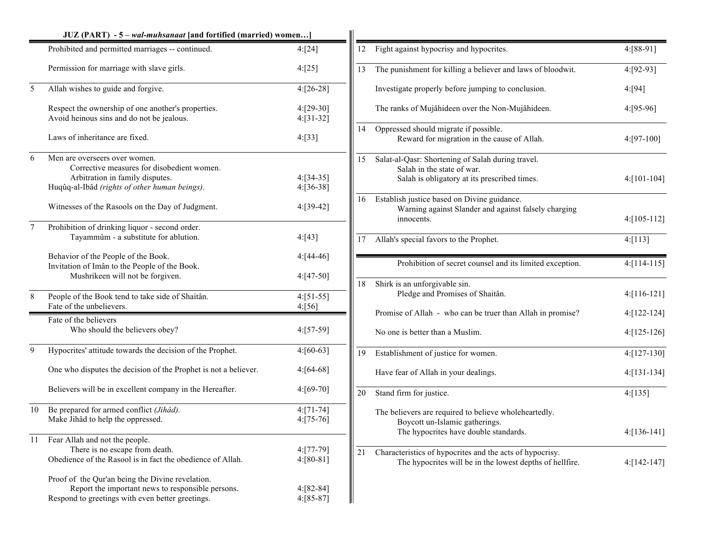|        | JUZ (PART) - 5 - wal-muhsanaat [and fortified (married) women]                                                                                                                                                      |                                           |
|--------|---------------------------------------------------------------------------------------------------------------------------------------------------------------------------------------------------------------------|-------------------------------------------|
|        | Prohibited and permitted marriages -- continued.                                                                                                                                                                    | 4:[24]                                    |
|        | Permission for marriage with slave girls.                                                                                                                                                                           | 4: [25]                                   |
| 5      | Allah wishes to guide and forgive.                                                                                                                                                                                  | $4: [26-28]$                              |
|        | Respect the ownership of one another's properties.<br>Avoid heinous sins and do not be jealous.                                                                                                                     | 4:[29-30]<br>$4:[31-32]$                  |
|        | Laws of inheritance are fixed.                                                                                                                                                                                      | 4: [33]                                   |
| 6      | Men are overseers over women.<br>Corrective measures for disobedient women.<br>Arbitration in family disputes.<br>Huqûq-al-Ibâd (rights of other human beings).<br>Witnesses of the Rasools on the Day of Judgment. | $4: [34-35]$<br>$4: [36-38]$<br>4:[39-42] |
| $\tau$ | Prohibition of drinking liquor - second order.<br>Tayammûm - a substitute for ablution.                                                                                                                             | 4: [43]                                   |
|        | Behavior of the People of the Book.<br>Invitation of Imân to the People of the Book.<br>Mushrikeen will not be forgiven.                                                                                            | $4: [44-46]$<br>$4: [47-50]$              |
| 8      | People of the Book tend to take side of Shaitân.<br>Fate of the unbelievers.                                                                                                                                        | $4: [51-55]$<br>4: [56]                   |
|        | Fate of the believers<br>Who should the believers obey?                                                                                                                                                             | $4: [57-59]$                              |
| 9      | Hypocrites' attitude towards the decision of the Prophet.                                                                                                                                                           | $4: [60-63]$                              |
|        | One who disputes the decision of the Prophet is not a believer.                                                                                                                                                     | $4: [64-68]$                              |
|        | Believers will be in excellent company in the Hereafter.                                                                                                                                                            | $4: [69-70]$                              |
| 10     | Be prepared for armed conflict (Jihâd).<br>Make Jihâd to help the oppressed.                                                                                                                                        | $4: [71-74]$<br>$4: [75-76]$              |
| 11     | Fear Allah and not the people.<br>There is no escape from death.<br>Obedience of the Rasool is in fact the obedience of Allah.                                                                                      | $4: [77-79]$<br>$4: [80-81]$              |
|        | Proof of the Qur'an being the Divine revelation.<br>Report the important news to responsible persons.<br>Respond to greetings with even better greetings.                                                           | $4: [82-84]$<br>$4: [85-87]$              |

| 12 | Fight against hypocrisy and hypocrites.                                                                                          | 4:[88-91]        |
|----|----------------------------------------------------------------------------------------------------------------------------------|------------------|
| 13 | The punishment for killing a believer and laws of bloodwit.                                                                      | 4:[92-93]        |
|    | Investigate properly before jumping to conclusion.                                                                               | 4: [94]          |
|    | The ranks of Mujâhideen over the Non-Mujâhideen.                                                                                 | 4:[95-96]        |
| 14 | Oppressed should migrate if possible.<br>Reward for migration in the cause of Allah.                                             | 4:[97-100]       |
| 15 | Salat-al-Qasr: Shortening of Salah during travel.<br>Salah in the state of war.                                                  |                  |
|    | Salah is obligatory at its prescribed times.                                                                                     | 4:[101-104]      |
| 16 | Establish justice based on Divine guidance.                                                                                      |                  |
|    | Warning against Slander and against falsely charging<br>innocents.                                                               | $4: [105 - 112]$ |
| 17 | Allah's special favors to the Prophet.                                                                                           | 4: [113]         |
|    | Prohibition of secret counsel and its limited exception.                                                                         | $4: [114-115]$   |
| 18 | Shirk is an unforgivable sin.<br>Pledge and Promises of Shaitân.                                                                 | $4: [116-121]$   |
|    | Promise of Allah - who can be truer than Allah in promise?                                                                       | 4:[122-124]      |
|    | No one is better than a Muslim.                                                                                                  | 4:[125-126]      |
| 19 | Establishment of justice for women.                                                                                              | $4: [127-130]$   |
|    | Have fear of Allah in your dealings.                                                                                             | $4: [131-134]$   |
| 20 | Stand firm for justice.                                                                                                          | 4: [135]         |
|    | The believers are required to believe wholeheartedly.<br>Boycott un-Islamic gatherings.<br>The hypocrites have double standards. | 4:[136-141]      |
|    |                                                                                                                                  |                  |
| 21 | Characteristics of hypocrites and the acts of hypocrisy.<br>The hypocrites will be in the lowest depths of hellfire.             | 4:[142-147]      |
|    |                                                                                                                                  |                  |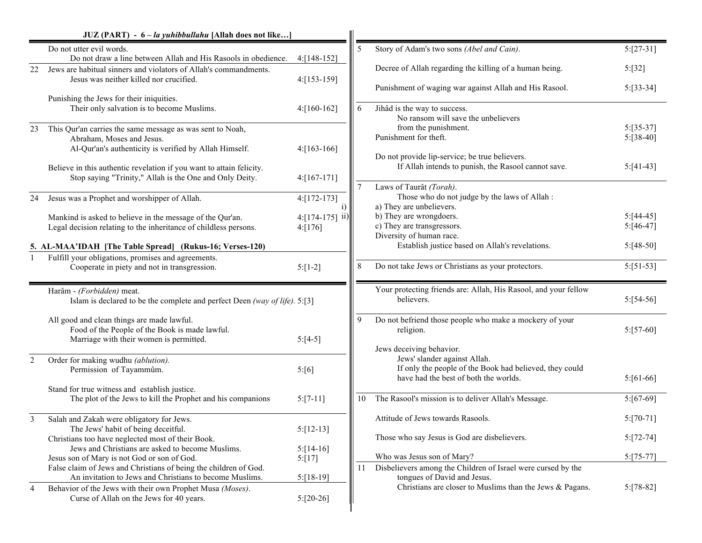|    | JUZ (PART) - 6 – la yuhibbullahu [Allah does not like]                                                                                                                                                                                   |                                                                   |    |                                                                                                                                                                                           |                                              |
|----|------------------------------------------------------------------------------------------------------------------------------------------------------------------------------------------------------------------------------------------|-------------------------------------------------------------------|----|-------------------------------------------------------------------------------------------------------------------------------------------------------------------------------------------|----------------------------------------------|
|    | Do not utter evil words.<br>Do not draw a line between Allah and His Rasools in obedience.                                                                                                                                               | $4:[148-152]$                                                     | 5  | Story of Adam's two sons (Abel and Cain).                                                                                                                                                 | $5:[27-31]$                                  |
| 22 | Jews are habitual sinners and violators of Allah's commandments.<br>Jesus was neither killed nor crucified.                                                                                                                              | 4:[153-159]                                                       |    | Decree of Allah regarding the killing of a human being.<br>Punishment of waging war against Allah and His Rasool.                                                                         | 5:[32]<br>$5:[33-34]$                        |
|    | Punishing the Jews for their iniquities.<br>Their only salvation is to become Muslims.                                                                                                                                                   | $4:[160-162]$                                                     | 6  | Jihâd is the way to success.<br>No ransom will save the unbelievers                                                                                                                       |                                              |
| 23 | This Qur'an carries the same message as was sent to Noah,<br>Abraham, Moses and Jesus.<br>Al-Qur'an's authenticity is verified by Allah Himself.<br>Believe in this authentic revelation if you want to attain felicity.                 | $4: [163-166]$                                                    |    | from the punishment.<br>Punishment for theft.<br>Do not provide lip-service; be true believers.<br>If Allah intends to punish, the Rasool cannot save.                                    | $5: [35-37]$<br>$5: [38-40]$<br>$5: [41-43]$ |
| 24 | Stop saying "Trinity," Allah is the One and Only Deity.<br>Jesus was a Prophet and worshipper of Allah.<br>Mankind is asked to believe in the message of the Qur'an.<br>Legal decision relating to the inheritance of childless persons. | $4: [167-171]$<br>$4: [172-173]$<br>$4:[174-175]$ ii)<br>4: [176] |    | Laws of Taurât (Torah).<br>Those who do not judge by the laws of Allah :<br>a) They are unbelievers.<br>b) They are wrongdoers.<br>c) They are transgressors.<br>Diversity of human race. | $5: [44-45]$<br>$5: [46-47]$                 |
|    | 5. AL-MAA'IDAH [The Table Spread] (Rukus-16; Verses-120)<br>Fulfill your obligations, promises and agreements.<br>Cooperate in piety and not in transgression.                                                                           | $5:[1-2]$                                                         | 8  | Establish justice based on Allah's revelations.<br>Do not take Jews or Christians as your protectors.                                                                                     | $5: [48-50]$<br>$5: [51-53]$                 |
|    | Harâm - (Forbidden) meat.<br>Islam is declared to be the complete and perfect Deen (way of life). $5: [3]$                                                                                                                               |                                                                   |    | Your protecting friends are: Allah, His Rasool, and your fellow<br>believers.                                                                                                             | $5: [54-56]$                                 |
|    | All good and clean things are made lawful.<br>Food of the People of the Book is made lawful.<br>Marriage with their women is permitted.                                                                                                  | $5:[4-5]$                                                         | 9  | Do not befriend those people who make a mockery of your<br>religion.<br>Jews deceiving behavior.                                                                                          | $5: [57-60]$                                 |
| 2  | Order for making wudhu (ablution).<br>Permission of Tayammûm.<br>Stand for true witness and establish justice.                                                                                                                           | 5:[6]                                                             |    | Jews' slander against Allah.<br>If only the people of the Book had believed, they could<br>have had the best of both the worlds.                                                          | $5: [61-66]$                                 |
|    | The plot of the Jews to kill the Prophet and his companions                                                                                                                                                                              | $5: [7-11]$                                                       | 10 | The Rasool's mission is to deliver Allah's Message.                                                                                                                                       | $5: [67-69]$                                 |
| 3  | Salah and Zakah were obligatory for Jews.<br>The Jews' habit of being deceitful.<br>Christians too have neglected most of their Book.                                                                                                    | $5:[12-13]$                                                       |    | Attitude of Jews towards Rasools.<br>Those who say Jesus is God are disbelievers.                                                                                                         | $5: [70-71]$<br>$5: [72-74]$                 |
|    | Jews and Christians are asked to become Muslims.<br>Jesus son of Mary is not God or son of God.<br>False claim of Jews and Christians of being the children of God.<br>An invitation to Jews and Christians to become Muslims.           | $5: [14-16]$<br>5:[17]<br>$5:[18-19]$                             | 11 | Who was Jesus son of Mary?<br>Disbelievers among the Children of Israel were cursed by the<br>tongues of David and Jesus.                                                                 | $5: [75-77]$                                 |
| 4  | Behavior of the Jews with their own Prophet Musa (Moses).<br>Curse of Allah on the Jews for 40 years.                                                                                                                                    | $5:[20-26]$                                                       |    | Christians are closer to Muslims than the Jews & Pagans.                                                                                                                                  | $5: [78-82]$                                 |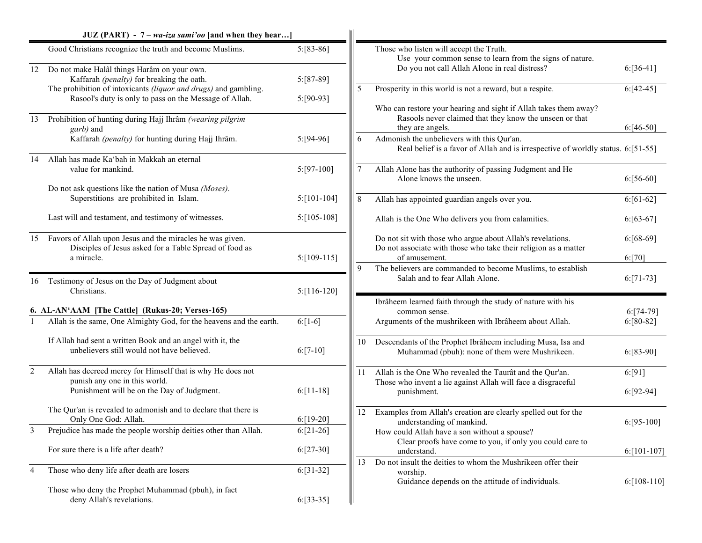|            | $JUZ$ (PART) - 7 – wa-iza sami'oo [and when they hear]                                                                    |                |    |                                                                                                                                                 |                |
|------------|---------------------------------------------------------------------------------------------------------------------------|----------------|----|-------------------------------------------------------------------------------------------------------------------------------------------------|----------------|
|            | Good Christians recognize the truth and become Muslims.                                                                   | $5: [83-86]$   |    | Those who listen will accept the Truth.<br>Use your common sense to learn from the signs of nature.                                             |                |
| 12         | Do not make Halâl things Harâm on your own.<br>Kaffarah (penalty) for breaking the oath.                                  | 5:[87-89]      |    | Do you not call Allah Alone in real distress?                                                                                                   | $6: [36-41]$   |
|            | The prohibition of intoxicants (liquor and drugs) and gambling.<br>Rasool's duty is only to pass on the Message of Allah. | 5:[90-93]      | 5  | Prosperity in this world is not a reward, but a respite.                                                                                        | $6:[42-45]$    |
| 13         | Prohibition of hunting during Hajj Ihrâm (wearing pilgrim<br>garb) and                                                    |                |    | Who can restore your hearing and sight if Allah takes them away?<br>Rasools never claimed that they know the unseen or that<br>they are angels. | $6: [46-50]$   |
|            | Kaffarah (penalty) for hunting during Hajj Ihrâm.                                                                         | $5: [94-96]$   | 6  | Admonish the unbelievers with this Qur'an.<br>Real belief is a favor of Allah and is irrespective of worldly status. 6:[51-55]                  |                |
| 14         | Allah has made Ka'bah in Makkah an eternal<br>value for mankind.<br>Do not ask questions like the nation of Musa (Moses). | $5: [97-100]$  |    | Allah Alone has the authority of passing Judgment and He<br>Alone knows the unseen.                                                             | $6: [56-60]$   |
|            | Superstitions are prohibited in Islam.                                                                                    | $5: [101-104]$ | 8  | Allah has appointed guardian angels over you.                                                                                                   | $6: [61-62]$   |
|            | Last will and testament, and testimony of witnesses.                                                                      | $5: [105-108]$ |    | Allah is the One Who delivers you from calamities.                                                                                              | $6: [63-67]$   |
| 15         | Favors of Allah upon Jesus and the miracles he was given.<br>Disciples of Jesus asked for a Table Spread of food as       |                |    | Do not sit with those who argue about Allah's revelations.<br>Do not associate with those who take their religion as a matter                   | $6: [68-69]$   |
|            | a miracle.                                                                                                                | $5:[109-115]$  |    | of amusement.<br>The believers are commanded to become Muslims, to establish                                                                    | 6: [70]        |
| 16         | Testimony of Jesus on the Day of Judgment about<br>Christians.                                                            | $5:[116-120]$  |    | Salah and to fear Allah Alone.                                                                                                                  | $6: [71-73]$   |
|            | 6. AL-AN'AAM [The Cattle] (Rukus-20; Verses-165)                                                                          |                |    | Ibrâheem learned faith through the study of nature with his<br>common sense.                                                                    | $6: [74-79]$   |
|            | Allah is the same, One Almighty God, for the heavens and the earth.                                                       | $6:[1-6]$      |    | Arguments of the mushrikeen with Ibrâheem about Allah.                                                                                          | $6: [80-82]$   |
|            | If Allah had sent a written Book and an angel with it, the<br>unbelievers still would not have believed.                  | $6: [7-10]$    | 10 | Descendants of the Prophet Ibrâheem including Musa, Isa and<br>Muhammad (pbuh): none of them were Mushrikeen.                                   | $6: [83-90]$   |
| $\sqrt{2}$ | Allah has decreed mercy for Himself that is why He does not<br>punish any one in this world.                              |                | 11 | Allah is the One Who revealed the Taurât and the Qur'an.<br>Those who invent a lie against Allah will face a disgraceful                        | 6: [91]        |
|            | Punishment will be on the Day of Judgment.                                                                                | $6: [11-18]$   |    | punishment.                                                                                                                                     | $6: [92-94]$   |
|            | The Qur'an is revealed to admonish and to declare that there is<br>Only One God: Allah.                                   | $6: [19-20]$   | 12 | Examples from Allah's creation are clearly spelled out for the<br>understanding of mankind.                                                     | $6: [95-100]$  |
| 3          | Prejudice has made the people worship deities other than Allah.                                                           | $6:[21-26]$    |    | How could Allah have a son without a spouse?<br>Clear proofs have come to you, if only you could care to                                        |                |
|            | For sure there is a life after death?                                                                                     | $6: [27-30]$   | 13 | understand.<br>Do not insult the deities to whom the Mushrikeen offer their                                                                     | $6: [101-107]$ |
| 4          | Those who deny life after death are losers                                                                                | $6:[31-32]$    |    | worship.<br>Guidance depends on the attitude of individuals.                                                                                    | $6: [108-110]$ |
|            | Those who deny the Prophet Muhammad (pbuh), in fact<br>deny Allah's revelations.                                          | $6: [33-35]$   |    |                                                                                                                                                 |                |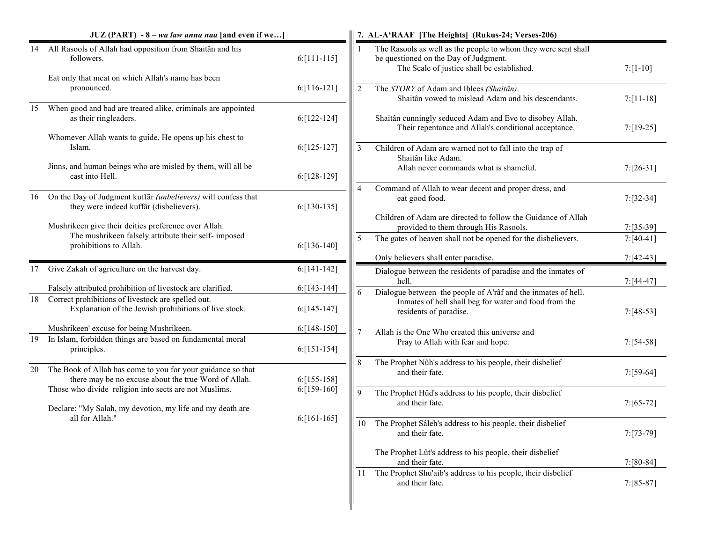|    | JUZ (PART) - 8 - wa law anna naa [and even if we]                                                                   |                |                | 7. AL-A'RAAF [The Heights] (Rukus-24; Verses-206)                                                                                                     |              |
|----|---------------------------------------------------------------------------------------------------------------------|----------------|----------------|-------------------------------------------------------------------------------------------------------------------------------------------------------|--------------|
| 14 | All Rasools of Allah had opposition from Shaitân and his<br>followers.                                              | $6: [111-115]$ |                | The Rasools as well as the people to whom they were sent shall<br>be questioned on the Day of Judgment.<br>The Scale of justice shall be established. | $7: [1-10]$  |
|    | Eat only that meat on which Allah's name has been<br>pronounced.                                                    | $6:[116-121]$  | $\overline{2}$ | The STORY of Adam and Iblees (Shaitân).<br>Shaitân vowed to mislead Adam and his descendants.                                                         | $7: [11-18]$ |
| 15 | When good and bad are treated alike, criminals are appointed<br>as their ringleaders.                               | $6: [122-124]$ |                | Shaitân cunningly seduced Adam and Eve to disobey Allah.<br>Their repentance and Allah's conditional acceptance.                                      | $7: [19-25]$ |
|    | Whomever Allah wants to guide, He opens up his chest to<br>Islam.                                                   | $6: [125-127]$ | 3              | Children of Adam are warned not to fall into the trap of<br>Shaitân like Adam.                                                                        |              |
|    | Jinns, and human beings who are misled by them, will all be<br>cast into Hell.                                      | 6:[128-129]    |                | Allah never commands what is shameful.                                                                                                                | $7: [26-31]$ |
| 16 | On the Day of Judgment kuffâr (unbelievers) will confess that<br>they were indeed kuffâr (disbelievers).            | $6: [130-135]$ | $\overline{4}$ | Command of Allah to wear decent and proper dress, and<br>eat good food.                                                                               | $7: [32-34]$ |
|    | Mushrikeen give their deities preference over Allah.                                                                |                |                | Children of Adam are directed to follow the Guidance of Allah<br>provided to them through His Rasools.                                                | $7: [35-39]$ |
|    | The mushrikeen falsely attribute their self- imposed<br>prohibitions to Allah.                                      | $6: [136-140]$ | 5              | The gates of heaven shall not be opened for the disbelievers.                                                                                         | $7: [40-41]$ |
|    |                                                                                                                     |                |                | Only believers shall enter paradise.                                                                                                                  | $7:[42-43]$  |
| 17 | Give Zakah of agriculture on the harvest day.                                                                       | $6: [141-142]$ |                | Dialogue between the residents of paradise and the inmates of<br>hell.                                                                                | $7: [44-47]$ |
|    | Falsely attributed prohibition of livestock are clarified.                                                          | $6: [143-144]$ | 6              | Dialogue between the people of A'râf and the inmates of hell.                                                                                         |              |
| 18 | Correct prohibitions of livestock are spelled out.<br>Explanation of the Jewish prohibitions of live stock.         | $6: [145-147]$ |                | Inmates of hell shall beg for water and food from the<br>residents of paradise.                                                                       | $7: [48-53]$ |
|    | Mushrikeen' excuse for being Mushrikeen.                                                                            | 6:[148-150]    | $\overline{7}$ | Allah is the One Who created this universe and                                                                                                        |              |
| 19 | In Islam, forbidden things are based on fundamental moral<br>principles.                                            | $6: [151-154]$ |                | Pray to Allah with fear and hope.                                                                                                                     | $7: [54-58]$ |
| 20 | The Book of Allah has come to you for your guidance so that<br>there may be no excuse about the true Word of Allah. | $6: [155-158]$ | 8              | The Prophet Nûh's address to his people, their disbelief<br>and their fate.                                                                           | $7: [59-64]$ |
|    | Those who divide religion into sects are not Muslims.<br>Declare: "My Salah, my devotion, my life and my death are  | $6: [159-160]$ | 9              | The Prophet Hûd's address to his people, their disbelief<br>and their fate.                                                                           | $7: [65-72]$ |
|    | all for Allah."                                                                                                     | $6: [161-165]$ | 10             | The Prophet Sâleh's address to his people, their disbelief<br>and their fate.                                                                         | $7:[73-79]$  |
|    |                                                                                                                     |                |                | The Prophet Lût's address to his people, their disbelief<br>and their fate.                                                                           | $7: [80-84]$ |
|    |                                                                                                                     |                | 11             | The Prophet Shu'aib's address to his people, their disbelief<br>and their fate.                                                                       | $7: [85-87]$ |
|    |                                                                                                                     |                |                |                                                                                                                                                       |              |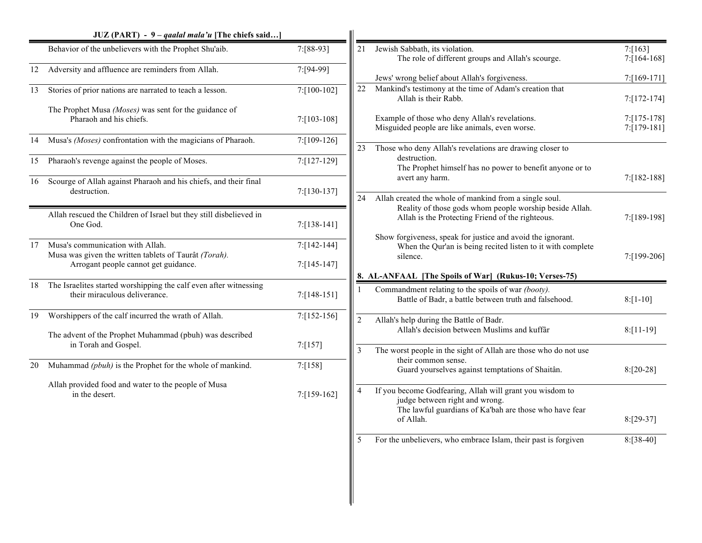|    | JUZ (PART) - 9 – qaalal mala'u [The chiefs said]                                                                                  |                |                |                                                                                                                                                                   |                                  |
|----|-----------------------------------------------------------------------------------------------------------------------------------|----------------|----------------|-------------------------------------------------------------------------------------------------------------------------------------------------------------------|----------------------------------|
|    | Behavior of the unbelievers with the Prophet Shu'aib.                                                                             | 7:[88-93]      | 21             | Jewish Sabbath, its violation.<br>The role of different groups and Allah's scourge.                                                                               | 7: [163]<br>$7:164-168$          |
| 12 | Adversity and affluence are reminders from Allah.                                                                                 | 7:[94-99]      |                | Jews' wrong belief about Allah's forgiveness.                                                                                                                     | 7:[169-171]                      |
| 13 | Stories of prior nations are narrated to teach a lesson.                                                                          | 7:[100-102]    | 22             | Mankind's testimony at the time of Adam's creation that<br>Allah is their Rabb.                                                                                   | $7: [172-174]$                   |
|    | The Prophet Musa (Moses) was sent for the guidance of<br>Pharaoh and his chiefs.                                                  | 7:[103-108]    |                | Example of those who deny Allah's revelations.<br>Misguided people are like animals, even worse.                                                                  | $7: [175-178]$<br>$7: [179-181]$ |
| 14 | Musa's (Moses) confrontation with the magicians of Pharaoh.                                                                       | 7:[109-126]    | 23             | Those who deny Allah's revelations are drawing closer to                                                                                                          |                                  |
| 15 | Pharaoh's revenge against the people of Moses.                                                                                    | 7:[127-129]    |                | destruction.<br>The Prophet himself has no power to benefit anyone or to                                                                                          |                                  |
| 16 | Scourge of Allah against Pharaoh and his chiefs, and their final<br>destruction.                                                  | 7:[130-137]    | 24             | avert any harm.<br>Allah created the whole of mankind from a single soul.                                                                                         | 7:[182-188]                      |
|    | Allah rescued the Children of Israel but they still disbelieved in<br>One God.                                                    | $7: [138-141]$ |                | Reality of those gods whom people worship beside Allah.<br>Allah is the Protecting Friend of the righteous.                                                       | 7:[189-198]                      |
| 17 | Musa's communication with Allah.<br>Musa was given the written tablets of Taurât (Torah).<br>Arrogant people cannot get guidance. | 7:[142-144]    |                | Show forgiveness, speak for justice and avoid the ignorant.<br>When the Qur'an is being recited listen to it with complete<br>silence.                            | 7:[199-206]                      |
|    |                                                                                                                                   | 7:[145-147]    |                | 8. AL-ANFAAL [The Spoils of War] (Rukus-10; Verses-75)                                                                                                            |                                  |
|    | 18 The Israelites started worshipping the calf even after witnessing<br>their miraculous deliverance.                             | 7:[148-151]    |                | Commandment relating to the spoils of war (booty).<br>Battle of Badr, a battle between truth and falsehood.                                                       | $8: [1-10]$                      |
| 19 | Worshippers of the calf incurred the wrath of Allah.                                                                              | 7:[152-156]    | $\overline{2}$ | Allah's help during the Battle of Badr.                                                                                                                           |                                  |
|    | The advent of the Prophet Muhammad (pbuh) was described<br>in Torah and Gospel.                                                   | 7: [157]       | 3              | Allah's decision between Muslims and kuffâr<br>The worst people in the sight of Allah are those who do not use                                                    | $8: [11-19]$                     |
| 20 | Muhammad (pbuh) is the Prophet for the whole of mankind.                                                                          | 7: [158]       |                | their common sense.<br>Guard yourselves against temptations of Shaitân.                                                                                           | $8: [20-28]$                     |
|    | Allah provided food and water to the people of Musa<br>in the desert.                                                             | 7:[159-162]    |                | If you become Godfearing, Allah will grant you wisdom to<br>judge between right and wrong.<br>The lawful guardians of Ka'bah are those who have fear<br>of Allah. | $8:[29-37]$                      |
|    |                                                                                                                                   |                | 5              | For the unbelievers, who embrace Islam, their past is forgiven                                                                                                    | $8: [38-40]$                     |
|    |                                                                                                                                   |                |                |                                                                                                                                                                   |                                  |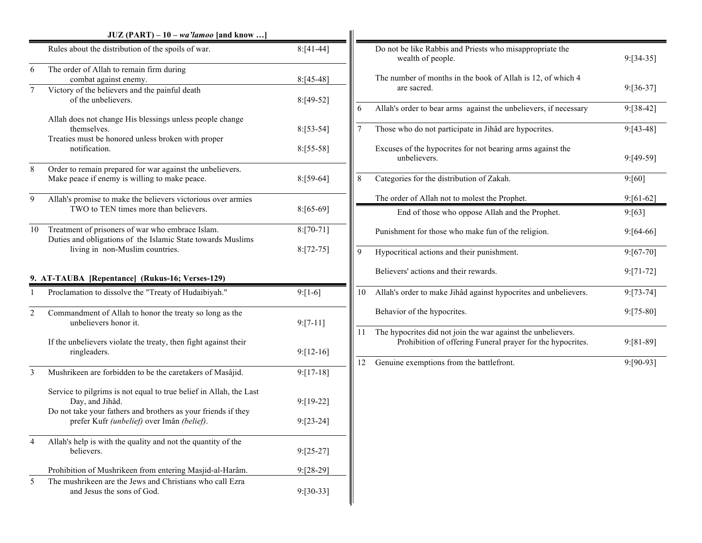|                | $JUZ (PART) - 10 - wa' lamoo$ [and know ]                                                                                     |              |
|----------------|-------------------------------------------------------------------------------------------------------------------------------|--------------|
|                | Rules about the distribution of the spoils of war.                                                                            | $8: [41-44]$ |
| 6              | The order of Allah to remain firm during<br>combat against enemy.                                                             | $8:[45-48]$  |
| $\tau$         | Victory of the believers and the painful death<br>of the unbelievers.                                                         | $8: [49-52]$ |
|                | Allah does not change His blessings unless people change<br>themselves.<br>Treaties must be honored unless broken with proper | $8: [53-54]$ |
|                | notification.                                                                                                                 | $8: [55-58]$ |
| 8              | Order to remain prepared for war against the unbelievers.<br>Make peace if enemy is willing to make peace.                    | $8: [59-64]$ |
| 9              | Allah's promise to make the believers victorious over armies<br>TWO to TEN times more than believers.                         | $8: [65-69]$ |
| 10             | Treatment of prisoners of war who embrace Islam.                                                                              | $8: [70-71]$ |
|                | Duties and obligations of the Islamic State towards Muslims<br>living in non-Muslim countries.                                | $8: [72-75]$ |
|                | 9. AT-TAUBA [Repentance] (Rukus-16; Verses-129)                                                                               |              |
| $\mathbf{1}$   | Proclamation to dissolve the "Treaty of Hudaibiyah."                                                                          | $9: [1-6]$   |
| $\overline{2}$ | Commandment of Allah to honor the treaty so long as the<br>unbelievers honor it.                                              | $9: [7-11]$  |
|                |                                                                                                                               |              |
|                | If the unbelievers violate the treaty, then fight against their<br>ringleaders.                                               | $9: [12-16]$ |
| 3              | Mushrikeen are forbidden to be the caretakers of Masâjid.                                                                     | $9:[17-18]$  |
|                | Service to pilgrims is not equal to true belief in Allah, the Last<br>Day, and Jihâd.                                         | $9: [19-22]$ |
|                | Do not take your fathers and brothers as your friends if they<br>prefer Kufr (unbelief) over Imân (belief).                   | $9: [23-24]$ |
| 4              | Allah's help is with the quality and not the quantity of the<br>believers.                                                    | $9: [25-27]$ |
| 5              | Prohibition of Mushrikeen from entering Masjid-al-Harâm.<br>The mushrikeen are the Jews and Christians who call Ezra          | 9:[28-29]    |

|                | Do not be like Rabbis and Priests who misappropriate the<br>wealth of people.                                              | $9: [34-35]$   |
|----------------|----------------------------------------------------------------------------------------------------------------------------|----------------|
|                | The number of months in the book of Allah is 12, of which 4<br>are sacred.                                                 | $9: [36-37]$   |
| 6              | Allah's order to bear arms against the unbelievers, if necessary                                                           | $9: [38-42]$   |
| $\overline{7}$ | Those who do not participate in Jihâd are hypocrites.                                                                      | $9: [43-48]$   |
|                | Excuses of the hypocrites for not bearing arms against the<br>unbelievers.                                                 | 9:[49-59]      |
| 8              | Categories for the distribution of Zakah.                                                                                  | 9: [60]        |
|                | The order of Allah not to molest the Prophet.                                                                              | $9: [61-62]$   |
|                |                                                                                                                            |                |
|                | End of those who oppose Allah and the Prophet.                                                                             | 9: [63]        |
|                | Punishment for those who make fun of the religion.                                                                         | $9: [64-66]$   |
| 9              | Hypocritical actions and their punishment.                                                                                 | $9: [67-70]$   |
|                | Believers' actions and their rewards.                                                                                      | $9: [71 - 72]$ |
| 10             | Allah's order to make Jihâd against hypocrites and unbelievers.                                                            | $9: [73-74]$   |
|                | Behavior of the hypocrites.                                                                                                | $9: [75-80]$   |
| 11             | The hypocrites did not join the war against the unbelievers.<br>Prohibition of offering Funeral prayer for the hypocrites. | $9: [81-89]$   |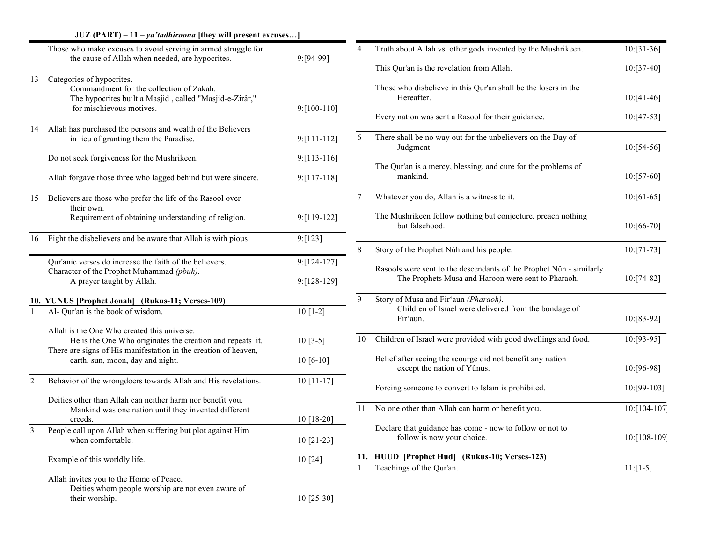|                | $JUZ$ (PART) – 11 – <i>ya'tadhiroona</i> [they will present excuses]                                                                                                        |                               |                |                                                                                                                           |               |
|----------------|-----------------------------------------------------------------------------------------------------------------------------------------------------------------------------|-------------------------------|----------------|---------------------------------------------------------------------------------------------------------------------------|---------------|
|                | Those who make excuses to avoid serving in armed struggle for<br>the cause of Allah when needed, are hypocrites.                                                            | 9:[94-99]                     | $\overline{4}$ | Truth about Allah vs. other gods invented by the Mushrikeen.                                                              | $10:[31-36]$  |
|                |                                                                                                                                                                             |                               |                | This Qur'an is the revelation from Allah.                                                                                 | $10: [37-40]$ |
| 13             | Categories of hypocrites.<br>Commandment for the collection of Zakah.<br>The hypocrites built a Masjid, called "Masjid-e-Zirâr,"<br>for mischievous motives.                | $9: [100-110]$                |                | Those who disbelieve in this Qur'an shall be the losers in the<br>Hereafter.                                              | $10:[41-46]$  |
|                |                                                                                                                                                                             |                               |                | Every nation was sent a Rasool for their guidance.                                                                        | $10:[47-53]$  |
| 14             | Allah has purchased the persons and wealth of the Believers<br>in lieu of granting them the Paradise.                                                                       | $9: [111 - 112]$              | 6              | There shall be no way out for the unbelievers on the Day of<br>Judgment.                                                  | $10:[54-56]$  |
|                | Do not seek forgiveness for the Mushrikeen.                                                                                                                                 | $9: [113 - 116]$              |                |                                                                                                                           |               |
|                | Allah forgave those three who lagged behind but were sincere.                                                                                                               | $9: [117-118]$                |                | The Qur'an is a mercy, blessing, and cure for the problems of<br>mankind.                                                 | $10: [57-60]$ |
| 15             | Believers are those who prefer the life of the Rasool over<br>their own.                                                                                                    |                               |                | Whatever you do, Allah is a witness to it.                                                                                | $10:[61-65]$  |
|                | Requirement of obtaining understanding of religion.                                                                                                                         | 9:[119-122]                   |                | The Mushrikeen follow nothing but conjecture, preach nothing<br>but falsehood.                                            | $10:[66-70]$  |
| 16             | Fight the disbelievers and be aware that Allah is with pious                                                                                                                | 9: [123]                      |                |                                                                                                                           |               |
|                |                                                                                                                                                                             |                               | 8              | Story of the Prophet Nûh and his people.                                                                                  | $10:[71-73]$  |
|                | Qur'anic verses do increase the faith of the believers.<br>Character of the Prophet Muhammad (pbuh).<br>A prayer taught by Allah.                                           | $9: [124-127]$<br>9:[128-129] |                | Rasools were sent to the descendants of the Prophet Nûh - similarly<br>The Prophets Musa and Haroon were sent to Pharaoh. | $10:[74-82]$  |
|                | 10. YUNUS [Prophet Jonah] (Rukus-11; Verses-109)                                                                                                                            |                               | 9              | Story of Musa and Fir'aun (Pharaoh).                                                                                      |               |
|                | Al- Qur'an is the book of wisdom.                                                                                                                                           | $10:[1-2]$                    |                | Children of Israel were delivered from the bondage of<br>Fir'aun.                                                         | 10:[83-92]    |
|                | Allah is the One Who created this universe.<br>He is the One Who originates the creation and repeats it.<br>There are signs of His manifestation in the creation of heaven, | $10:[3-5]$                    | 10             | Children of Israel were provided with good dwellings and food.                                                            | 10:[93-95]    |
|                | earth, sun, moon, day and night.                                                                                                                                            | $10:[6-10]$                   |                | Belief after seeing the scourge did not benefit any nation<br>except the nation of Yûnus.                                 | 10:[96-98]    |
| $\overline{2}$ | Behavior of the wrongdoers towards Allah and His revelations.                                                                                                               | $10: [11-17]$                 |                | Forcing someone to convert to Islam is prohibited.                                                                        | 10:[99-103]   |
|                | Deities other than Allah can neither harm nor benefit you.<br>Mankind was one nation until they invented different<br>creeds.                                               | $10:[18-20]$                  |                | 11 No one other than Allah can harm or benefit you.                                                                       | 10:[104-107]  |
| 3              | People call upon Allah when suffering but plot against Him<br>when comfortable.                                                                                             | $10:[21-23]$                  |                | Declare that guidance has come - now to follow or not to<br>follow is now your choice.                                    | 10:[108-109]  |
|                | Example of this worldly life.                                                                                                                                               | 10:[24]                       | 11.            | HUUD [Prophet Hud] (Rukus-10; Verses-123)                                                                                 |               |
|                | Allah invites you to the Home of Peace.<br>Deities whom people worship are not even aware of<br>their worship.                                                              | $10:[25-30]$                  |                | Teachings of the Qur'an.                                                                                                  | $11: [1-5]$   |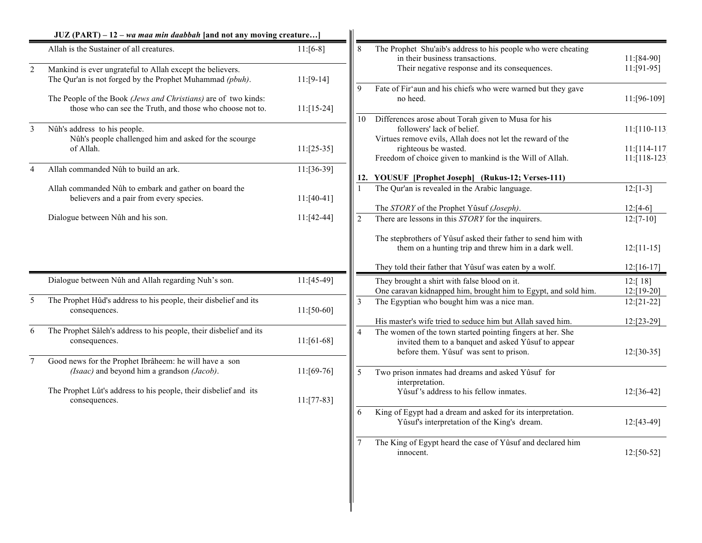|                | $JUZ (PART) - 12 - wa maa min daabbah$ [and not any moving creature]                                                        |               |                |                                                                                                                                                                                                                           |                                    |
|----------------|-----------------------------------------------------------------------------------------------------------------------------|---------------|----------------|---------------------------------------------------------------------------------------------------------------------------------------------------------------------------------------------------------------------------|------------------------------------|
|                | Allah is the Sustainer of all creatures.                                                                                    | $11:[6-8]$    | 8              | The Prophet Shu'aib's address to his people who were cheating<br>in their business transactions.                                                                                                                          | $11:[84-90]$                       |
| $\overline{2}$ | Mankind is ever ungrateful to Allah except the believers.<br>The Qur'an is not forged by the Prophet Muhammad (pbuh).       | $11:[9-14]$   |                | Their negative response and its consequences.                                                                                                                                                                             | $11:[91-95]$                       |
|                | The People of the Book (Jews and Christians) are of two kinds:<br>those who can see the Truth, and those who choose not to. | $11:[15-24]$  | 9              | Fate of Fir'aun and his chiefs who were warned but they gave<br>no heed.                                                                                                                                                  | 11:[96-109]                        |
| 3              | Nûh's address to his people.<br>Nûh's people challenged him and asked for the scourge                                       |               | 10             | Differences arose about Torah given to Musa for his<br>followers' lack of belief.<br>Virtues remove evils, Allah does not let the reward of the                                                                           | $11: [110-113]$                    |
|                | of Allah.                                                                                                                   | $11:[25-35]$  |                | righteous be wasted.<br>Freedom of choice given to mankind is the Will of Allah.                                                                                                                                          | $11: [114-117]$<br>$11: [118-123]$ |
| $\overline{4}$ | Allah commanded Nûh to build an ark.                                                                                        | $11: [36-39]$ |                | 12. YOUSUF [Prophet Joseph] (Rukus-12; Verses-111)                                                                                                                                                                        |                                    |
|                | Allah commanded Nûh to embark and gather on board the<br>believers and a pair from every species.                           | $11:[40-41]$  | $\mathbf{1}$   | The Qur'an is revealed in the Arabic language.                                                                                                                                                                            | $12:[1-3]$                         |
|                | Dialogue between Nûh and his son.                                                                                           | $11:[42-44]$  | 2              | The STORY of the Prophet Yûsuf (Joseph).<br>There are lessons in this STORY for the inquirers.                                                                                                                            | $12:[4-6]$<br>$12: [7-10]$         |
|                |                                                                                                                             |               |                | The stepbrothers of Yûsuf asked their father to send him with<br>them on a hunting trip and threw him in a dark well.<br>They told their father that Yûsuf was eaten by a wolf.                                           | $12:[11-15]$<br>$12:[16-17]$       |
|                | Dialogue between Nûh and Allah regarding Nuh's son.                                                                         | $11:[45-49]$  |                | They brought a shirt with false blood on it.<br>One caravan kidnapped him, brought him to Egypt, and sold him.                                                                                                            | 12:[18]<br>$12:[19-20]$            |
| 5              | The Prophet Hûd's address to his people, their disbelief and its<br>consequences.                                           | $11: [50-60]$ | $\overline{3}$ | The Egyptian who bought him was a nice man.                                                                                                                                                                               | $12:[21-22]$                       |
| 6              | The Prophet Sâleh's address to his people, their disbelief and its<br>consequences.                                         | $11:[61-68]$  | $\overline{4}$ | His master's wife tried to seduce him but Allah saved him.<br>The women of the town started pointing fingers at her. She<br>invited them to a banquet and asked Yûsuf to appear<br>before them. Yûsuf was sent to prison. | $12:[23-29]$<br>$12: [30-35]$      |
| $\tau$         | Good news for the Prophet Ibrâheem: he will have a son<br>(Isaac) and beyond him a grandson (Jacob).                        | $11:[69-76]$  | 5              | Two prison inmates had dreams and asked Yûsuf for                                                                                                                                                                         |                                    |
|                | The Prophet Lût's address to his people, their disbelief and its<br>consequences.                                           | $11: [77-83]$ |                | interpretation.<br>Yûsuf's address to his fellow inmates.                                                                                                                                                                 | $12: [36-42]$                      |
|                |                                                                                                                             |               | 6              | King of Egypt had a dream and asked for its interpretation.<br>Yûsuf's interpretation of the King's dream.                                                                                                                | $12: [43-49]$                      |
|                |                                                                                                                             |               |                | The King of Egypt heard the case of Yûsuf and declared him<br>innocent.                                                                                                                                                   | $12:[50-52]$                       |
|                |                                                                                                                             |               |                |                                                                                                                                                                                                                           |                                    |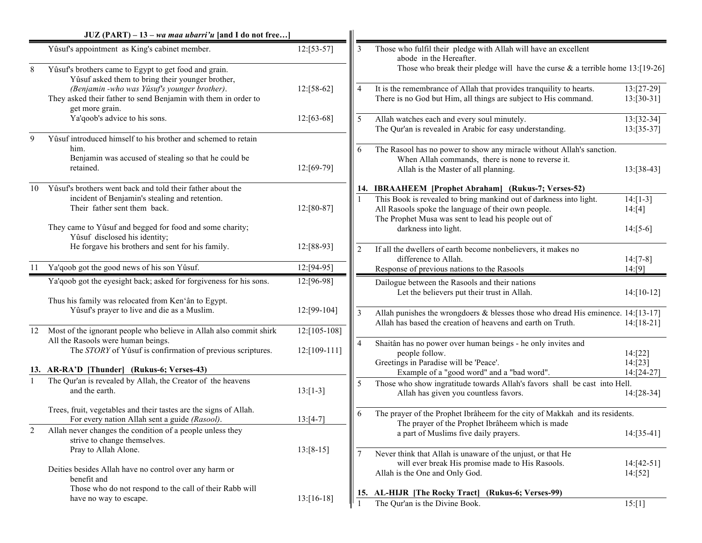|       | $JUZ (PART) - 13 - wa maa ubarri'u$ [and I do not free]                                                                                    |                 |                |                                                                                                                                                                                  |                               |
|-------|--------------------------------------------------------------------------------------------------------------------------------------------|-----------------|----------------|----------------------------------------------------------------------------------------------------------------------------------------------------------------------------------|-------------------------------|
|       | Yûsuf's appointment as King's cabinet member.                                                                                              | $12:[53-57]$    | 3              | Those who fulfil their pledge with Allah will have an excellent<br>abode in the Hereafter.                                                                                       |                               |
| $8\,$ | Yûsuf's brothers came to Egypt to get food and grain.<br>Yûsuf asked them to bring their younger brother,                                  |                 |                | Those who break their pledge will have the curse $\&$ a terrible home 13:[19-26]                                                                                                 |                               |
|       | (Benjamin -who was Yûsuf's younger brother).<br>They asked their father to send Benjamin with them in order to<br>get more grain.          | $12:[58-62]$    | $\overline{4}$ | It is the remembrance of Allah that provides tranquility to hearts.<br>There is no God but Him, all things are subject to His command.                                           | $13:[27-29]$<br>$13: [30-31]$ |
|       | Ya'qoob's advice to his sons.                                                                                                              | $12: [63-68]$   | 5              | Allah watches each and every soul minutely.<br>The Qur'an is revealed in Arabic for easy understanding.                                                                          | $13: [32-34]$<br>$13:[35-37]$ |
| 9     | Yûsuf introduced himself to his brother and schemed to retain<br>him.<br>Benjamin was accused of stealing so that he could be<br>retained. | $12:[69-79]$    | 6              | The Rasool has no power to show any miracle without Allah's sanction.<br>When Allah commands, there is none to reverse it.<br>Allah is the Master of all planning.               | $13:[38-43]$                  |
| 10    | Yûsuf's brothers went back and told their father about the                                                                                 |                 |                | 14. IBRAAHEEM [Prophet Abraham] (Rukus-7; Verses-52)                                                                                                                             |                               |
|       | incident of Benjamin's stealing and retention.<br>Their father sent them back.                                                             | $12:[80-87]$    |                | This Book is revealed to bring mankind out of darkness into light.<br>All Rasools spoke the language of their own people.<br>The Prophet Musa was sent to lead his people out of | $14: [1-3]$<br>14:[4]         |
|       | They came to Yûsuf and begged for food and some charity;<br>Yûsuf disclosed his identity;                                                  |                 |                | darkness into light.                                                                                                                                                             | $14:[5-6]$                    |
|       | He forgave his brothers and sent for his family.                                                                                           | 12:[88-93]      | $\overline{2}$ | If all the dwellers of earth become nonbelievers, it makes no<br>difference to Allah.                                                                                            | $14:[7-8]$                    |
| 11    | Ya'qoob got the good news of his son Yûsuf.                                                                                                | 12:[94-95]      |                | Response of previous nations to the Rasools                                                                                                                                      | 14: [9]                       |
|       | Ya'qoob got the eyesight back; asked for forgiveness for his sons.                                                                         | 12:[96-98]      |                | Dailogue between the Rasools and their nations<br>Let the believers put their trust in Allah.                                                                                    | $14$ :[10-12]                 |
|       | Thus his family was relocated from Ken'ân to Egypt.<br>Yûsuf's prayer to live and die as a Muslim.                                         | $12: [99-104]$  | 3              | Allah punishes the wrongdoers $\&$ blesses those who dread His eminence. 14:[13-17]<br>Allah has based the creation of heavens and earth on Truth.                               | $14: [18-21]$                 |
| 12    | Most of the ignorant people who believe in Allah also commit shirk                                                                         | $12: [105-108]$ |                |                                                                                                                                                                                  |                               |
|       | All the Rasools were human beings.<br>The STORY of Yûsuf is confirmation of previous scriptures.                                           | $12:[109-111]$  | $\overline{4}$ | Shaitân has no power over human beings - he only invites and<br>people follow.                                                                                                   | 14:[22]                       |
|       | 13. AR-RA'D [Thunder] (Rukus-6; Verses-43)                                                                                                 |                 |                | Greetings in Paradise will be 'Peace'.<br>Example of a "good word" and a "bad word".                                                                                             | 14: [23]<br>14:[24-27]        |
|       | The Qur'an is revealed by Allah, the Creator of the heavens<br>and the earth.                                                              | $13:[1-3]$      | 5              | Those who show ingratitude towards Allah's favors shall be cast into Hell.<br>Allah has given you countless favors.                                                              | 14:[28-34]                    |
|       | Trees, fruit, vegetables and their tastes are the signs of Allah.<br>For every nation Allah sent a guide (Rasool).                         | $13:[4-7]$      | 6              | The prayer of the Prophet Ibrâheem for the city of Makkah and its residents.                                                                                                     |                               |
|       | Allah never changes the condition of a people unless they<br>strive to change themselves.                                                  |                 |                | The prayer of the Prophet Ibrâheem which is made<br>a part of Muslims five daily prayers.                                                                                        | $14: [35-41]$                 |
|       | Pray to Allah Alone.<br>Deities besides Allah have no control over any harm or                                                             | $13:[8-15]$     | $\overline{7}$ | Never think that Allah is unaware of the unjust, or that He<br>will ever break His promise made to His Rasools.                                                                  | $14:[42-51]$                  |
|       | benefit and<br>Those who do not respond to the call of their Rabb will                                                                     |                 |                | Allah is the One and Only God.<br>15. AL-HIJR [The Rocky Tract]<br>(Rukus-6; Verses-99)                                                                                          | 14:[52]                       |
|       | have no way to escape.                                                                                                                     | $13:[16-18]$    |                | The Qur'an is the Divine Book.                                                                                                                                                   | 15:[1]                        |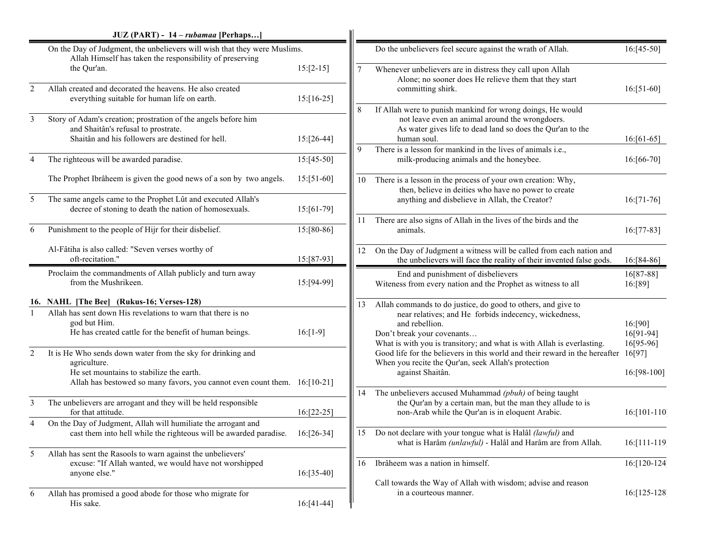|                | JUZ (PART) - 14 - rubamaa [Perhaps]                                                                                                                                                                  |               |                |                                                                                                                                                                                            |                                    |
|----------------|------------------------------------------------------------------------------------------------------------------------------------------------------------------------------------------------------|---------------|----------------|--------------------------------------------------------------------------------------------------------------------------------------------------------------------------------------------|------------------------------------|
|                | On the Day of Judgment, the unbelievers will wish that they were Muslims.<br>Allah Himself has taken the responsibility of preserving                                                                |               |                | Do the unbelievers feel secure against the wrath of Allah.                                                                                                                                 | $16: [45-50]$                      |
|                | the Qur'an.                                                                                                                                                                                          | $15:[2-15]$   | $\overline{7}$ | Whenever unbelievers are in distress they call upon Allah<br>Alone; no sooner does He relieve them that they start                                                                         |                                    |
| $\overline{2}$ | Allah created and decorated the heavens. He also created<br>everything suitable for human life on earth.                                                                                             | $15:[16-25]$  |                | committing shirk.                                                                                                                                                                          | $16:[51-60]$                       |
| $\overline{3}$ | Story of Adam's creation; prostration of the angels before him<br>and Shaitân's refusal to prostrate.<br>Shaitân and his followers are destined for hell.                                            | $15:[26-44]$  | 8              | If Allah were to punish mankind for wrong doings, He would<br>not leave even an animal around the wrongdoers.<br>As water gives life to dead land so does the Qur'an to the<br>human soul. | $16:[61-65]$                       |
| $\overline{4}$ | The righteous will be awarded paradise.                                                                                                                                                              | $15:[45-50]$  | 9              | There is a lesson for mankind in the lives of animals i.e.,<br>milk-producing animals and the honeybee.                                                                                    | 16:[66-70]                         |
|                | The Prophet Ibrâheem is given the good news of a son by two angels.                                                                                                                                  | $15:[51-60]$  | 10             | There is a lesson in the process of your own creation: Why,<br>then, believe in deities who have no power to create                                                                        |                                    |
| 5              | The same angels came to the Prophet Lût and executed Allah's<br>decree of stoning to death the nation of homosexuals.                                                                                | $15:[61-79]$  |                | anything and disbelieve in Allah, the Creator?                                                                                                                                             | $16:[71-76]$                       |
| 6              | Punishment to the people of Hijr for their disbelief.                                                                                                                                                | 15:[80-86]    | 11             | There are also signs of Allah in the lives of the birds and the<br>animals.                                                                                                                | $16:[77-83]$                       |
|                | Al-Fâtiha is also called: "Seven verses worthy of<br>oft-recitation."                                                                                                                                | 15:[87-93]    | 12             | On the Day of Judgment a witness will be called from each nation and<br>the unbelievers will face the reality of their invented false gods.                                                | 16:[84-86]                         |
|                | Proclaim the commandments of Allah publicly and turn away<br>from the Mushrikeen.                                                                                                                    | 15:[94-99]    |                | End and punishment of disbelievers<br>Witeness from every nation and the Prophet as witness to all                                                                                         | 16[87-88]<br>16:[89]               |
|                | 16. NAHL [The Bee] (Rukus-16; Verses-128)                                                                                                                                                            |               | 13             | Allah commands to do justice, do good to others, and give to                                                                                                                               |                                    |
| $\mathbf{1}$   | Allah has sent down His revelations to warn that there is no<br>god but Him.<br>He has created cattle for the benefit of human beings.                                                               | $16:[1-9]$    |                | near relatives; and He forbids indecency, wickedness,<br>and rebellion.<br>Don't break your covenants<br>What is with you is transitory; and what is with Allah is everlasting.            | 16: [90]<br>16[91-94]<br>16[95-96] |
| $\overline{2}$ | It is He Who sends down water from the sky for drinking and<br>agriculture.<br>He set mountains to stabilize the earth.<br>Allah has bestowed so many favors, you cannot even count them. 16:[10-21] |               |                | Good life for the believers in this world and their reward in the hereafter<br>When you recite the Qur'an, seek Allah's protection<br>against Shaitân.                                     | 16[97]<br>16:[98-100]              |
| 3              | The unbelievers are arrogant and they will be held responsible<br>for that attitude.                                                                                                                 | $16:[22-25]$  | 14             | The unbelievers accused Muhammad (pbuh) of being taught<br>the Qur'an by a certain man, but the man they allude to is<br>non-Arab while the Qur'an is in eloquent Arabic.                  | 16:[101-110]                       |
| 4              | On the Day of Judgment, Allah will humiliate the arrogant and<br>cast them into hell while the righteous will be awarded paradise.                                                                   | $16: [26-34]$ |                | 15 Do not declare with your tongue what is Halâl (lawful) and<br>what is Harâm (unlawful) - Halâl and Harâm are from Allah.                                                                | $16: [111 - 119]$                  |
| 5              | Allah has sent the Rasools to warn against the unbelievers'<br>excuse: "If Allah wanted, we would have not worshipped<br>anyone else."                                                               | $16: [35-40]$ | 16             | Ibrâheem was a nation in himself.                                                                                                                                                          | 16:[120-124]                       |
| 6              | Allah has promised a good abode for those who migrate for<br>His sake.                                                                                                                               | $16:[41-44]$  |                | Call towards the Way of Allah with wisdom; advise and reason<br>in a courteous manner.                                                                                                     | 16:[125-128]                       |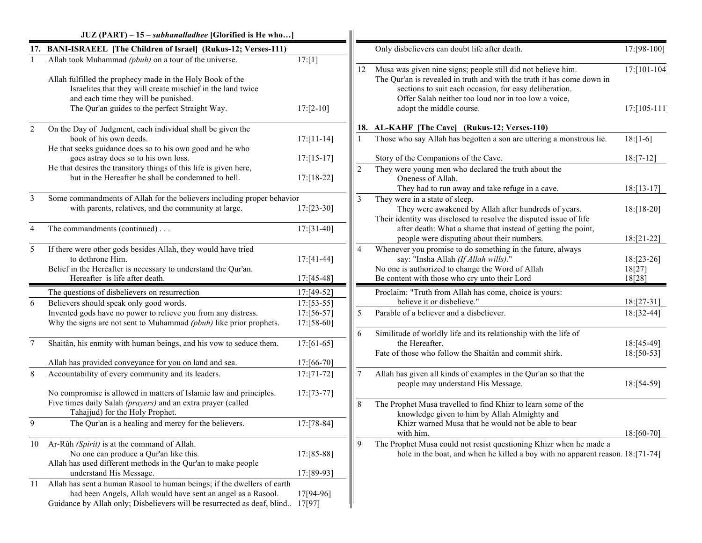|        | $JUZ (PART) - 15 - subhanalladhee$ [Glorified is He who]                                                                                                                                                                  |                             |                |                                                                                                                                                                                                                                                          |                                  |
|--------|---------------------------------------------------------------------------------------------------------------------------------------------------------------------------------------------------------------------------|-----------------------------|----------------|----------------------------------------------------------------------------------------------------------------------------------------------------------------------------------------------------------------------------------------------------------|----------------------------------|
|        | 17. BANI-ISRAEEL [The Children of Israel] (Rukus-12; Verses-111)                                                                                                                                                          |                             |                | Only disbelievers can doubt life after death.                                                                                                                                                                                                            | 17:[98-100]                      |
|        | Allah took Muhammad (pbuh) on a tour of the universe.<br>Allah fulfilled the prophecy made in the Holy Book of the<br>Israelites that they will create mischief in the land twice<br>and each time they will be punished. | 17: [1]                     | 12             | Musa was given nine signs; people still did not believe him.<br>The Qur'an is revealed in truth and with the truth it has come down in<br>sections to suit each occasion, for easy deliberation.<br>Offer Salah neither too loud nor in too low a voice, | 17:[101-104]                     |
|        | The Qur'an guides to the perfect Straight Way.                                                                                                                                                                            | $17: [2-10]$                |                | adopt the middle course.                                                                                                                                                                                                                                 | $17: [105 - 111]$                |
| 2      | On the Day of Judgment, each individual shall be given the                                                                                                                                                                |                             |                | 18. AL-KAHF [The Cave] (Rukus-12; Verses-110)                                                                                                                                                                                                            |                                  |
|        | book of his own deeds.                                                                                                                                                                                                    | $17: [11-14]$               |                | Those who say Allah has begotten a son are uttering a monstrous lie.                                                                                                                                                                                     | $18:[1-6]$                       |
|        | He that seeks guidance does so to his own good and he who<br>goes astray does so to his own loss.                                                                                                                         | $17: [15-17]$               |                | Story of the Companions of the Cave.                                                                                                                                                                                                                     | $18:[7-12]$                      |
|        | He that desires the transitory things of this life is given here,<br>but in the Hereafter he shall be condemned to hell.                                                                                                  | $17:[18-22]$                | $\overline{2}$ | They were young men who declared the truth about the<br>Oneness of Allah.<br>They had to run away and take refuge in a cave.                                                                                                                             | $18:[13-17]$                     |
| 3      | Some commandments of Allah for the believers including proper behavior<br>with parents, relatives, and the community at large.                                                                                            | $17: [23-30]$               |                | They were in a state of sleep.<br>They were awakened by Allah after hundreds of years.<br>Their identity was disclosed to resolve the disputed issue of life                                                                                             | $18:[18-20]$                     |
| 4      | The commandments (continued)                                                                                                                                                                                              | $17: [31-40]$               |                | after death: What a shame that instead of getting the point,<br>people were disputing about their numbers.                                                                                                                                               | $18:[21-22]$                     |
| 5      | If there were other gods besides Allah, they would have tried<br>to dethrone Him.<br>Belief in the Hereafter is necessary to understand the Qur'an.<br>Hereafter is life after death.                                     | $17: [41-44]$<br>17:[45-48] |                | Whenever you promise to do something in the future, always<br>say: "Insha Allah (If Allah wills)."<br>No one is authorized to change the Word of Allah<br>Be content with those who cry unto their Lord                                                  | $18:[23-26]$<br>18[27]<br>18[28] |
|        | The questions of disbelievers on resurrection                                                                                                                                                                             | 17:[49-52]                  |                | Proclaim: "Truth from Allah has come, choice is yours:                                                                                                                                                                                                   |                                  |
| 6      | Believers should speak only good words.                                                                                                                                                                                   | $17: [53-55]$               |                | believe it or disbelieve."                                                                                                                                                                                                                               | $18:[27-31]$                     |
|        | Invented gods have no power to relieve you from any distress.<br>Why the signs are not sent to Muhammad (pbuh) like prior prophets.                                                                                       | $17:56-57$ ]<br>17:[58-60]  | -5             | Parable of a believer and a disbeliever.                                                                                                                                                                                                                 | $18:[32-44]$                     |
| $\tau$ | Shaitân, his enmity with human beings, and his vow to seduce them.                                                                                                                                                        | $17: [61-65]$               | 6              | Similitude of worldly life and its relationship with the life of<br>the Hereafter.<br>Fate of those who follow the Shaitân and commit shirk.                                                                                                             | 18:[45-49]<br>$18:[50-53]$       |
|        | Allah has provided conveyance for you on land and sea.                                                                                                                                                                    | $17: [66-70]$               |                |                                                                                                                                                                                                                                                          |                                  |
| 8      | Accountability of every community and its leaders.                                                                                                                                                                        | $17: [71-72]$               |                | Allah has given all kinds of examples in the Qur'an so that the<br>people may understand His Message.                                                                                                                                                    | 18:[54-59]                       |
|        | No compromise is allowed in matters of Islamic law and principles.<br>Five times daily Salah (prayers) and an extra prayer (called<br>Tahajjud) for the Holy Prophet.                                                     | $17: [73-77]$               | 8              | The Prophet Musa travelled to find Khizr to learn some of the<br>knowledge given to him by Allah Almighty and                                                                                                                                            |                                  |
| 9      | The Qur'an is a healing and mercy for the believers.                                                                                                                                                                      | $17: [78-84]$               |                | Khizr warned Musa that he would not be able to bear<br>with him.                                                                                                                                                                                         | 18:[60-70]                       |
| 10     | Ar-Rûh (Spirit) is at the command of Allah.<br>No one can produce a Qur'an like this.<br>Allah has used different methods in the Qur'an to make people<br>understand His Message.                                         | 17:[85-88]<br>17:[89-93]    | 9              | The Prophet Musa could not resist questioning Khizr when he made a<br>hole in the boat, and when he killed a boy with no apparent reason. 18:[71-74]                                                                                                     |                                  |
| 11     | Allah has sent a human Rasool to human beings; if the dwellers of earth                                                                                                                                                   |                             |                |                                                                                                                                                                                                                                                          |                                  |
|        | had been Angels, Allah would have sent an angel as a Rasool.<br>Guidance by Allah only; Disbelievers will be resurrected as deaf, blind 17[97]                                                                            | 17[94-96]                   |                |                                                                                                                                                                                                                                                          |                                  |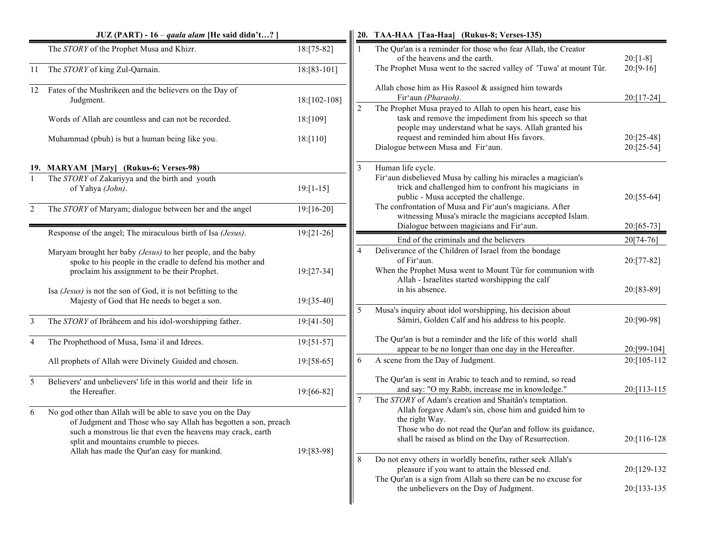|                | $JUZ$ (PART) - 16 – <i>qaala alam</i> [He said didn't?]                                                                                                                                                                                                                               |                              |                                                                                                                                                                                        | 20. TAA-HAA [Taa-Haa] (Rukus-8; Verses-135)                                                                                                                                                  |                                |
|----------------|---------------------------------------------------------------------------------------------------------------------------------------------------------------------------------------------------------------------------------------------------------------------------------------|------------------------------|----------------------------------------------------------------------------------------------------------------------------------------------------------------------------------------|----------------------------------------------------------------------------------------------------------------------------------------------------------------------------------------------|--------------------------------|
|                | The STORY of the Prophet Musa and Khizr.                                                                                                                                                                                                                                              | 18:[75-82]                   | $\mathbf{1}$                                                                                                                                                                           | The Qur'an is a reminder for those who fear Allah, the Creator<br>of the heavens and the earth.                                                                                              | $20: [1-8]$                    |
| 11             | The STORY of king Zul-Qarnain.                                                                                                                                                                                                                                                        | 18:[83-101]                  |                                                                                                                                                                                        | The Prophet Musa went to the sacred valley of 'Tuwa' at mount Tûr.                                                                                                                           | $20: [9-16]$                   |
| 12             | Fates of the Mushrikeen and the believers on the Day of<br>Judgment.                                                                                                                                                                                                                  | 18:[102-108]                 |                                                                                                                                                                                        | Allah chose him as His Rasool & assigned him towards<br>Fir'aun (Pharaoh).                                                                                                                   | $20:[17-24]$                   |
|                | Words of Allah are countless and can not be recorded.                                                                                                                                                                                                                                 | 18:[109]                     | $\overline{2}$                                                                                                                                                                         | The Prophet Musa prayed to Allah to open his heart, ease his<br>task and remove the impediment from his speech so that<br>people may understand what he says. Allah granted his              |                                |
|                | Muhammad (pbuh) is but a human being like you.                                                                                                                                                                                                                                        | 18:[110]                     |                                                                                                                                                                                        | request and reminded him about His favors.<br>Dialogue between Musa and Fir'aun.                                                                                                             | $20: [25-48]$<br>$20: [25-54]$ |
|                | 19. MARYAM [Mary] (Rukus-6; Verses-98)                                                                                                                                                                                                                                                |                              | 3                                                                                                                                                                                      | Human life cycle.                                                                                                                                                                            |                                |
|                | The STORY of Zakariyya and the birth and youth<br>of Yahya (John).                                                                                                                                                                                                                    | $19: [1-15]$                 |                                                                                                                                                                                        | Fir'aun disbelieved Musa by calling his miracles a magician's<br>trick and challenged him to confront his magicians in<br>public - Musa accepted the challenge.                              | $20: [55-64]$                  |
| $\overline{c}$ | The STORY of Maryam; dialogue between her and the angel                                                                                                                                                                                                                               | 19:[16-20]                   |                                                                                                                                                                                        | The confrontation of Musa and Fir'aun's magicians. After<br>witnessing Musa's miracle the magicians accepted Islam.<br>Dialogue between magicians and Fir'aun.                               | $20:[65-73]$                   |
|                | Response of the angel; The miraculous birth of Isa (Jesus).                                                                                                                                                                                                                           | $19: [21-26]$                |                                                                                                                                                                                        | End of the criminals and the believers                                                                                                                                                       | 20[74-76]                      |
|                | Maryam brought her baby (Jesus) to her people, and the baby<br>spoke to his people in the cradle to defend his mother and<br>proclaim his assignment to be their Prophet.                                                                                                             | $\overline{4}$<br>19:[27-34] | Deliverance of the Children of Israel from the bondage<br>of Fir'aun.<br>When the Prophet Musa went to Mount Tûr for communion with<br>Allah - Israelites started worshipping the calf | $20:[77-82]$                                                                                                                                                                                 |                                |
|                | Isa (Jesus) is not the son of God, it is not befitting to the<br>Majesty of God that He needs to beget a son.                                                                                                                                                                         | $19: [35-40]$                |                                                                                                                                                                                        | in his absence.                                                                                                                                                                              | 20:[83-89]                     |
| 3              | The STORY of Ibrâheem and his idol-worshipping father.                                                                                                                                                                                                                                | $19: [41-50]$                | 5                                                                                                                                                                                      | Musa's inquiry about idol worshipping, his decision about<br>Sâmiri, Golden Calf and his address to his people.                                                                              | 20:[90-98]                     |
| 4              | The Prophethood of Musa, Isma'il and Idrees.                                                                                                                                                                                                                                          | $19: [51-57]$                |                                                                                                                                                                                        | The Qur'an is but a reminder and the life of this world shall<br>appear to be no longer than one day in the Hereafter.                                                                       | 20:[99-104]                    |
|                | All prophets of Allah were Divinely Guided and chosen.                                                                                                                                                                                                                                | 19:[58-65]                   | 6                                                                                                                                                                                      | A scene from the Day of Judgment.                                                                                                                                                            | 20:[105-112]                   |
| 5              | Believers' and unbelievers' life in this world and their life in<br>the Hereafter.                                                                                                                                                                                                    | 19:[66-82]                   | 7                                                                                                                                                                                      | The Qur'an is sent in Arabic to teach and to remind, so read<br>and say: "O my Rabb, increase me in knowledge."<br>The STORY of Adam's creation and Shaitan's temptation.                    | 20:[113-115                    |
| 6              | No god other than Allah will be able to save you on the Day<br>of Judgment and Those who say Allah has begotten a son, preach<br>such a monstrous lie that even the heavens may crack, earth<br>split and mountains crumble to pieces.<br>Allah has made the Qur'an easy for mankind. | 19:[83-98]                   |                                                                                                                                                                                        | Allah forgave Adam's sin, chose him and guided him to<br>the right Way.<br>Those who do not read the Qur'an and follow its guidance,<br>shall be raised as blind on the Day of Resurrection. | 20:[116-128]                   |
|                |                                                                                                                                                                                                                                                                                       |                              | 8                                                                                                                                                                                      | Do not envy others in worldly benefits, rather seek Allah's<br>pleasure if you want to attain the blessed end.<br>The Qur'an is a sign from Allah so there can be no excuse for              | 20:[129-132]                   |
|                |                                                                                                                                                                                                                                                                                       |                              |                                                                                                                                                                                        | the unbelievers on the Day of Judgment.                                                                                                                                                      | 20:[133-135]                   |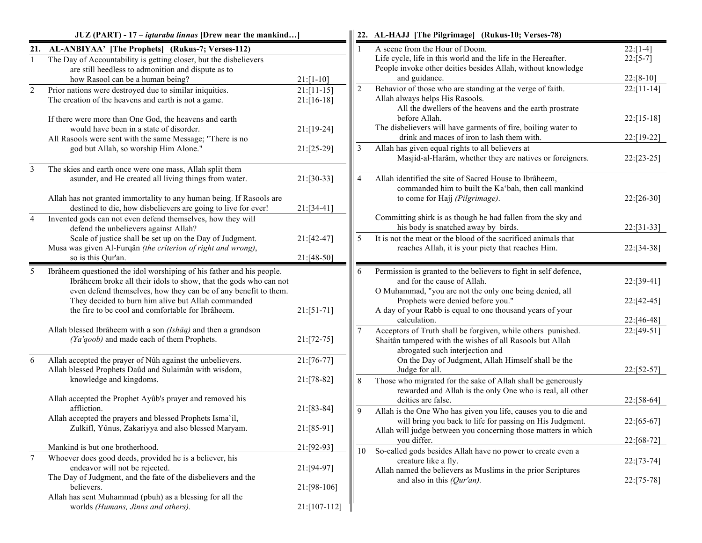|                | $JUZ$ (PART) - 17 – <i>iqtaraba linnas</i> [Drew near the mankind                                                                                                                                                                                                                                                        |                                |                | 22. AL-HAJJ [The Pilgrimage] (Rukus-10; Verses-78)                                                                                                                                                                                                                           |                                        |
|----------------|--------------------------------------------------------------------------------------------------------------------------------------------------------------------------------------------------------------------------------------------------------------------------------------------------------------------------|--------------------------------|----------------|------------------------------------------------------------------------------------------------------------------------------------------------------------------------------------------------------------------------------------------------------------------------------|----------------------------------------|
|                | 21. AL-ANBIYAA' [The Prophets] (Rukus-7; Verses-112)<br>The Day of Accountability is getting closer, but the disbelievers<br>are still heedless to admonition and dispute as to                                                                                                                                          |                                |                | A scene from the Hour of Doom.<br>Life cycle, life in this world and the life in the Hereafter.<br>People invoke other deities besides Allah, without knowledge                                                                                                              | $22: [1-4]$<br>$22:[5-7]$              |
|                | how Rasool can be a human being?                                                                                                                                                                                                                                                                                         | $21:[1-10]$                    |                | and guidance.                                                                                                                                                                                                                                                                | $22:[8-10]$                            |
| $\overline{c}$ | Prior nations were destroyed due to similar iniquities.<br>The creation of the heavens and earth is not a game.                                                                                                                                                                                                          | $21: [11-15]$<br>$21: [16-18]$ | $\overline{2}$ | Behavior of those who are standing at the verge of faith.<br>Allah always helps His Rasools.<br>All the dwellers of the heavens and the earth prostrate                                                                                                                      | $22: [11-14]$                          |
|                | If there were more than One God, the heavens and earth<br>would have been in a state of disorder.                                                                                                                                                                                                                        | 21:[19-24]                     |                | before Allah.<br>The disbelievers will have garments of fire, boiling water to                                                                                                                                                                                               | $22:[15-18]$                           |
|                | All Rasools were sent with the same Message; "There is no<br>god but Allah, so worship Him Alone."                                                                                                                                                                                                                       | $21:[25-29]$                   | 3              | drink and maces of iron to lash them with.<br>Allah has given equal rights to all believers at<br>Masjid-al-Harâm, whether they are natives or foreigners.                                                                                                                   | 22:[19-22]<br>$22:[23-25]$             |
| 3              | The skies and earth once were one mass, Allah split them<br>asunder, and He created all living things from water.                                                                                                                                                                                                        | $21: [30-33]$                  | 4              | Allah identified the site of Sacred House to Ibrâheem,<br>commanded him to built the Ka'bah, then call mankind                                                                                                                                                               |                                        |
|                | Allah has not granted immortality to any human being. If Rasools are<br>destined to die, how disbelievers are going to live for ever!                                                                                                                                                                                    | 21:[34-41]                     |                | to come for Hajj (Pilgrimage).<br>Committing shirk is as though he had fallen from the sky and                                                                                                                                                                               | $22: [26-30]$                          |
| $\overline{4}$ | Invented gods can not even defend themselves, how they will<br>defend the unbelievers against Allah?                                                                                                                                                                                                                     |                                |                | his body is snatched away by birds.                                                                                                                                                                                                                                          | $22: [31-33]$                          |
|                | Scale of justice shall be set up on the Day of Judgment.<br>Musa was given Al-Furqân (the criterion of right and wrong),<br>so is this Qur'an.                                                                                                                                                                           | $21:[42-47]$<br>21:[48-50]     | 5              | It is not the meat or the blood of the sacrificed animals that<br>reaches Allah, it is your piety that reaches Him.                                                                                                                                                          | 22:[34-38]                             |
| 5              | Ibrâheem questioned the idol worshiping of his father and his people.<br>Ibrâheem broke all their idols to show, that the gods who can not<br>even defend themselves, how they can be of any benefit to them.<br>They decided to burn him alive but Allah commanded<br>the fire to be cool and comfortable for Ibrâheem. | $21:[51-71]$                   | 6              | Permission is granted to the believers to fight in self defence,<br>and for the cause of Allah.<br>O Muhammad, "you are not the only one being denied, all<br>Prophets were denied before you."<br>A day of your Rabb is equal to one thousand years of your<br>calculation. | 22:[39-41]<br>22:[42-45]<br>22:[46-48] |
|                | Allah blessed Ibrâheem with a son (Ishâq) and then a grandson<br>(Ya'qoob) and made each of them Prophets.                                                                                                                                                                                                               | $21: [72-75]$                  |                | Acceptors of Truth shall be forgiven, while others punished.<br>Shaitân tampered with the wishes of all Rasools but Allah<br>abrogated such interjection and                                                                                                                 | $22:[49-51]$                           |
| 6              | Allah accepted the prayer of Nûh against the unbelievers.<br>Allah blessed Prophets Daûd and Sulaimân with wisdom,                                                                                                                                                                                                       | 21:[76-77]                     |                | On the Day of Judgment, Allah Himself shall be the<br>Judge for all.                                                                                                                                                                                                         | 22:[52-57]                             |
|                | knowledge and kingdoms.<br>Allah accepted the Prophet Ayûb's prayer and removed his                                                                                                                                                                                                                                      | 21:[78-82]                     | 8              | Those who migrated for the sake of Allah shall be generously<br>rewarded and Allah is the only One who is real, all other<br>deities are false.                                                                                                                              | 22:[58-64]                             |
|                | affliction.<br>Allah accepted the prayers and blessed Prophets Isma'il,                                                                                                                                                                                                                                                  | 21:[83-84]                     | 9              | Allah is the One Who has given you life, causes you to die and<br>will bring you back to life for passing on His Judgment.                                                                                                                                                   | $22: [65-67]$                          |
|                | Zulkifl, Yûnus, Zakariyya and also blessed Maryam.                                                                                                                                                                                                                                                                       | 21:[85-91]                     |                | Allah will judge between you concerning those matters in which<br>you differ.                                                                                                                                                                                                | 22:[68-72]                             |
| 7              | Mankind is but one brotherhood.<br>Whoever does good deeds, provided he is a believer, his<br>endeavor will not be rejected.                                                                                                                                                                                             | 21:[92-93]<br>21:[94-97]       | 10             | So-called gods besides Allah have no power to create even a<br>creature like a fly.<br>Allah named the believers as Muslims in the prior Scriptures                                                                                                                          | 22:[73-74]                             |
|                | The Day of Judgment, and the fate of the disbelievers and the<br>believers.                                                                                                                                                                                                                                              | 21:[98-106]                    |                | and also in this $(Qur'an)$ .                                                                                                                                                                                                                                                | $22: [75-78]$                          |
|                | Allah has sent Muhammad (pbuh) as a blessing for all the<br>worlds (Humans, Jinns and others).                                                                                                                                                                                                                           | 21:[107-112]                   |                |                                                                                                                                                                                                                                                                              |                                        |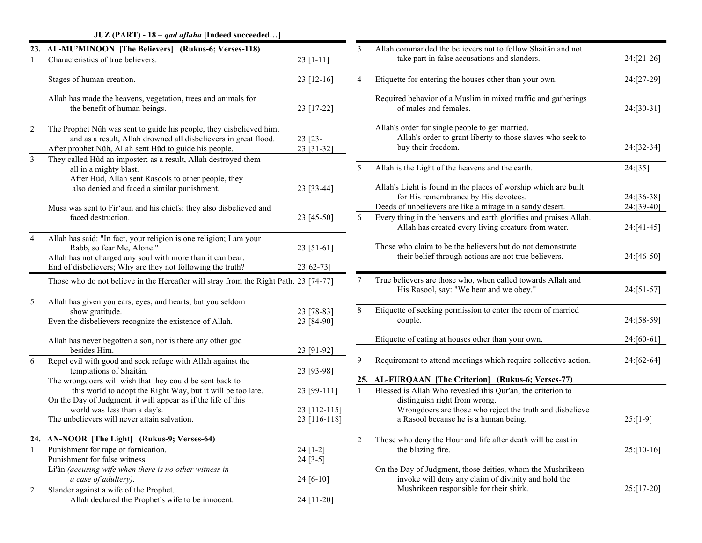|                | JUZ (PART) - 18 - qad aflaha [Indeed succeeded]                                                                                                                                                  |                             |                |                                                                                                                                     |               |
|----------------|--------------------------------------------------------------------------------------------------------------------------------------------------------------------------------------------------|-----------------------------|----------------|-------------------------------------------------------------------------------------------------------------------------------------|---------------|
| 23.            | AL-MU'MINOON [The Believers] (Rukus-6; Verses-118)                                                                                                                                               |                             | 3              | Allah commanded the believers not to follow Shaitân and not                                                                         |               |
|                | Characteristics of true believers.                                                                                                                                                               | $23:[1-11]$                 |                | take part in false accusations and slanders.                                                                                        | $24:[21-26]$  |
|                | Stages of human creation.                                                                                                                                                                        | $23: [12-16]$               | $\overline{4}$ | Etiquette for entering the houses other than your own.                                                                              | 24:[27-29]    |
|                | Allah has made the heavens, vegetation, trees and animals for<br>the benefit of human beings.                                                                                                    | $23:[17-22]$                |                | Required behavior of a Muslim in mixed traffic and gatherings<br>of males and females.                                              | 24:[30-31]    |
| $\overline{2}$ | The Prophet Nûh was sent to guide his people, they disbelieved him,<br>and as a result, Allah drowned all disbelievers in great flood.<br>After prophet Nûh, Allah sent Hûd to guide his people. | $23: [23-$<br>$23: [31-32]$ |                | Allah's order for single people to get married.<br>Allah's order to grant liberty to those slaves who seek to<br>buy their freedom. | 24:[32-34]    |
| 3              | They called Hûd an imposter; as a result, Allah destroyed them<br>all in a mighty blast.                                                                                                         |                             | 5              | Allah is the Light of the heavens and the earth.                                                                                    | 24:[35]       |
|                | After Hûd, Allah sent Rasools to other people, they<br>also denied and faced a similar punishment.                                                                                               | 23:[33-44]                  |                | Allah's Light is found in the places of worship which are built<br>for His remembrance by His devotees.                             | 24:[36-38]    |
|                | Musa was sent to Fir'aun and his chiefs; they also disbelieved and                                                                                                                               |                             |                | Deeds of unbelievers are like a mirage in a sandy desert.                                                                           | 24:[39-40]    |
|                | faced destruction.                                                                                                                                                                               | $23:[45-50]$                | 6              | Every thing in the heavens and earth glorifies and praises Allah.<br>Allah has created every living creature from water.            | $24:[41-45]$  |
| $\overline{4}$ | Allah has said: "In fact, your religion is one religion; I am your<br>Rabb, so fear Me, Alone."<br>Allah has not charged any soul with more than it can bear.                                    | $23: [51-61]$               |                | Those who claim to be the believers but do not demonstrate<br>their belief through actions are not true believers.                  | 24:[46-50]    |
|                | End of disbelievers; Why are they not following the truth?                                                                                                                                       | 23[62-73]                   |                |                                                                                                                                     |               |
|                | Those who do not believe in the Hereafter will stray from the Right Path. 23:[74-77]                                                                                                             |                             | 7              | True believers are those who, when called towards Allah and<br>His Rasool, say: "We hear and we obey."                              | $24:[51-57]$  |
| 5              | Allah has given you ears, eyes, and hearts, but you seldom<br>show gratitude.                                                                                                                    | 23:[78-83]                  | 8              | Etiquette of seeking permission to enter the room of married                                                                        |               |
|                | Even the disbelievers recognize the existence of Allah.                                                                                                                                          | 23:[84-90]                  |                | couple.                                                                                                                             | 24:[58-59]    |
|                | Allah has never begotten a son, nor is there any other god                                                                                                                                       |                             |                | Etiquette of eating at houses other than your own.                                                                                  | $24:[60-61]$  |
| 6              | besides Him.<br>Repel evil with good and seek refuge with Allah against the<br>temptations of Shaitân.                                                                                           | 23:[91-92]<br>23:[93-98]    | 9              | Requirement to attend meetings which require collective action.                                                                     | 24:[62-64]    |
|                | The wrongdoers will wish that they could be sent back to                                                                                                                                         |                             |                | 25. AL-FURQAAN [The Criterion] (Rukus-6; Verses-77)                                                                                 |               |
|                | this world to adopt the Right Way, but it will be too late.                                                                                                                                      | 23:[99-111]                 | $\mathbf{1}$   | Blessed is Allah Who revealed this Qur'an, the criterion to                                                                         |               |
|                | On the Day of Judgment, it will appear as if the life of this                                                                                                                                    |                             |                | distinguish right from wrong.                                                                                                       |               |
|                | world was less than a day's.                                                                                                                                                                     | $23:[112-115]$              |                | Wrongdoers are those who reject the truth and disbelieve                                                                            |               |
|                | The unbelievers will never attain salvation.                                                                                                                                                     | 23:[116-118]                |                | a Rasool because he is a human being.                                                                                               | $25:[1-9]$    |
|                | 24. AN-NOOR [The Light] (Rukus-9; Verses-64)                                                                                                                                                     |                             | $\sqrt{2}$     | Those who deny the Hour and life after death will be cast in                                                                        |               |
|                | Punishment for rape or fornication.                                                                                                                                                              | $24: [1-2]$                 |                | the blazing fire.                                                                                                                   | $25: [10-16]$ |
|                | Punishment for false witness.                                                                                                                                                                    | $24:[3-5]$                  |                |                                                                                                                                     |               |
|                | Li'ân (accusing wife when there is no other witness in<br>a case of adultery).                                                                                                                   | $24:[6-10]$                 |                | On the Day of Judgment, those deities, whom the Mushrikeen<br>invoke will deny any claim of divinity and hold the                   |               |
| 2              | Slander against a wife of the Prophet.                                                                                                                                                           |                             |                | Mushrikeen responsible for their shirk.                                                                                             | $25: [17-20]$ |
|                | Allah declared the Prophet's wife to be innocent.                                                                                                                                                | 24:[11-20]                  |                |                                                                                                                                     |               |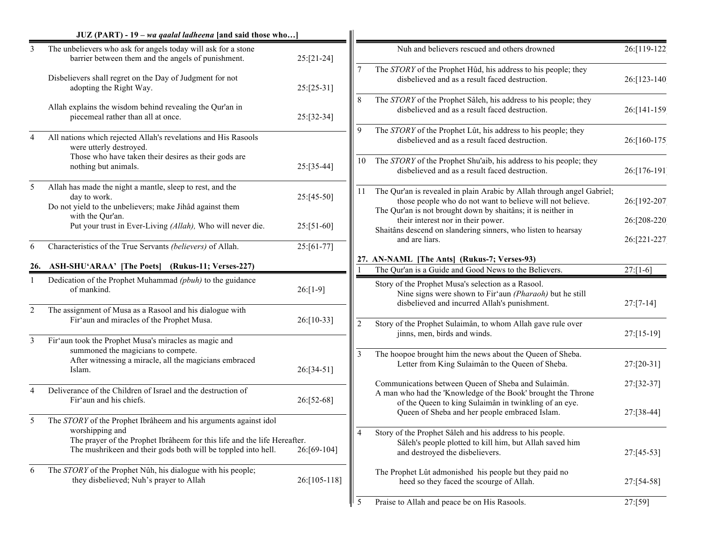|                | $JUZ$ (PART) - 19 – wa qaalal ladheena [and said those who]                                                                                                  |               |     |                                                                                                                                                                                                     |              |
|----------------|--------------------------------------------------------------------------------------------------------------------------------------------------------------|---------------|-----|-----------------------------------------------------------------------------------------------------------------------------------------------------------------------------------------------------|--------------|
| 3              | The unbelievers who ask for angels today will ask for a stone<br>barrier between them and the angels of punishment.                                          | $25:[21-24]$  |     | Nuh and believers rescued and others drowned                                                                                                                                                        | 26:[119-122] |
|                | Disbelievers shall regret on the Day of Judgment for not<br>adopting the Right Way.                                                                          | $25:[25-31]$  |     | The STORY of the Prophet Hûd, his address to his people; they<br>disbelieved and as a result faced destruction.                                                                                     | 26:[123-140] |
|                | Allah explains the wisdom behind revealing the Qur'an in<br>piecemeal rather than all at once.                                                               | 25:[32-34]    |     | The STORY of the Prophet Sâleh, his address to his people; they<br>disbelieved and as a result faced destruction.                                                                                   | 26:[141-159] |
| 4              | All nations which rejected Allah's revelations and His Rasools<br>were utterly destroyed.                                                                    |               | 9   | The STORY of the Prophet Lût, his address to his people; they<br>disbelieved and as a result faced destruction.                                                                                     | 26:[160-175] |
|                | Those who have taken their desires as their gods are<br>nothing but animals.                                                                                 | 25:[35-44]    | 10  | The STORY of the Prophet Shu'aib, his address to his people; they<br>disbelieved and as a result faced destruction.                                                                                 | 26:[176-191] |
| 5              | Allah has made the night a mantle, sleep to rest, and the<br>day to work.<br>Do not yield to the unbelievers; make Jihâd against them                        | 25:[45-50]    | 11. | The Qur'an is revealed in plain Arabic by Allah through angel Gabriel;<br>those people who do not want to believe will not believe.<br>The Qur'an is not brought down by shaitans; it is neither in | 26:[192-207  |
|                | with the Qur'an.<br>Put your trust in Ever-Living (Allah), Who will never die.                                                                               | $25: [51-60]$ |     | their interest nor in their power.<br>Shaitâns descend on slandering sinners, who listen to hearsay                                                                                                 | 26:[208-220] |
| 6              | Characteristics of the True Servants (believers) of Allah.                                                                                                   | 25:[61-77]    |     | and are liars.                                                                                                                                                                                      | 26:[221-227] |
|                | 26. ASH-SHU'ARAA' [The Poets] (Rukus-11; Verses-227)                                                                                                         |               |     | 27. AN-NAML [The Ants] (Rukus-7; Verses-93)                                                                                                                                                         |              |
|                |                                                                                                                                                              |               |     | The Qur'an is a Guide and Good News to the Believers.                                                                                                                                               | $27:[1-6]$   |
|                | Dedication of the Prophet Muhammad (pbuh) to the guidance<br>of mankind.                                                                                     | $26:[1-9]$    |     | Story of the Prophet Musa's selection as a Rasool.<br>Nine signs were shown to Fir'aun (Pharaoh) but he still<br>disbelieved and incurred Allah's punishment.                                       | $27:[7-14]$  |
| $\overline{2}$ | The assignment of Musa as a Rasool and his dialogue with<br>Fir'aun and miracles of the Prophet Musa.                                                        | 26:[10-33]    |     | Story of the Prophet Sulaimân, to whom Allah gave rule over                                                                                                                                         |              |
| $\overline{3}$ | Fir'aun took the Prophet Musa's miracles as magic and                                                                                                        |               |     | jinns, men, birds and winds.                                                                                                                                                                        | 27:[15-19]   |
|                | summoned the magicians to compete.<br>After witnessing a miracle, all the magicians embraced<br>Islam.                                                       | 26:[34-51]    | 3   | The hoopoe brought him the news about the Queen of Sheba.<br>Letter from King Sulaimân to the Queen of Sheba.                                                                                       | 27:[20-31]   |
| $\overline{4}$ | Deliverance of the Children of Israel and the destruction of<br>Fir'aun and his chiefs.                                                                      | 26:[52-68]    |     | Communications between Queen of Sheba and Sulaimân.<br>A man who had the 'Knowledge of the Book' brought the Throne<br>of the Queen to king Sulaimân in twinkling of an eye.                        | 27:[32-37]   |
| 5              | The STORY of the Prophet Ibrâheem and his arguments against idol                                                                                             |               |     | Queen of Sheba and her people embraced Islam.                                                                                                                                                       | 27:[38-44]   |
|                | worshipping and<br>The prayer of the Prophet Ibrâheem for this life and the life Hereafter.<br>The mushrikeen and their gods both will be toppled into hell. | 26:[69-104]   |     | Story of the Prophet Sâleh and his address to his people.<br>Sâleh's people plotted to kill him, but Allah saved him<br>and destroyed the disbelievers.                                             | 27:[45-53]   |
| 6              | The STORY of the Prophet Nûh, his dialogue with his people;<br>they disbelieved; Nuh's prayer to Allah                                                       | 26:[105-118]  |     | The Prophet Lût admonished his people but they paid no<br>heed so they faced the scourge of Allah.                                                                                                  | 27:[54-58]   |
|                |                                                                                                                                                              |               | 5   | Praise to Allah and peace be on His Rasools.                                                                                                                                                        | 27:[59]      |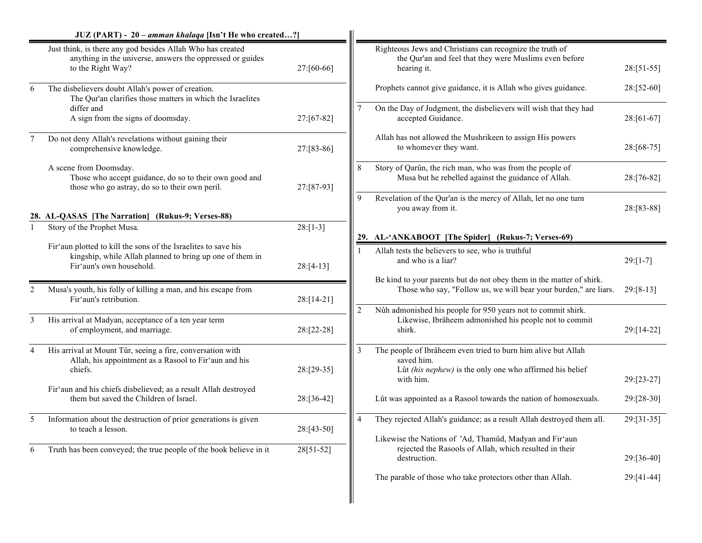|                | JUZ (PART) - 20 – amman khalaqa [Isn't He who created?]                                                                                      |             |                |                                                                                                                                          |              |
|----------------|----------------------------------------------------------------------------------------------------------------------------------------------|-------------|----------------|------------------------------------------------------------------------------------------------------------------------------------------|--------------|
|                | Just think, is there any god besides Allah Who has created<br>anything in the universe, answers the oppressed or guides<br>to the Right Way? | 27:[60-66]  |                | Righteous Jews and Christians can recognize the truth of<br>the Qur'an and feel that they were Muslims even before<br>hearing it.        | $28:[51-55]$ |
| 6              | The disbelievers doubt Allah's power of creation.<br>The Qur'an clarifies those matters in which the Israelites                              |             |                | Prophets cannot give guidance, it is Allah who gives guidance.                                                                           | 28:[52-60]   |
|                | differ and<br>A sign from the signs of doomsday.                                                                                             | 27:[67-82]  | 7              | On the Day of Judgment, the disbelievers will wish that they had<br>accepted Guidance.                                                   | 28:[61-67]   |
| $\overline{7}$ | Do not deny Allah's revelations without gaining their<br>comprehensive knowledge.                                                            | 27:[83-86]  |                | Allah has not allowed the Mushrikeen to assign His powers<br>to whomever they want.                                                      | 28:[68-75]   |
|                | A scene from Doomsday.<br>Those who accept guidance, do so to their own good and<br>those who go astray, do so to their own peril.           | 27:[87-93]  | 8              | Story of Qarûn, the rich man, who was from the people of<br>Musa but he rebelled against the guidance of Allah.                          | 28:[76-82]   |
|                | 28. AL-QASAS [The Narration]<br>(Rukus-9; Verses-88)                                                                                         |             | 9              | Revelation of the Qur'an is the mercy of Allah, let no one turn<br>you away from it.                                                     | 28:[83-88]   |
|                | Story of the Prophet Musa.                                                                                                                   | $28:[1-3]$  |                |                                                                                                                                          |              |
|                | Fir'aun plotted to kill the sons of the Israelites to save his                                                                               | $28:[4-13]$ |                | 29. AL-'ANKABOOT [The Spider] (Rukus-7; Verses-69)                                                                                       |              |
|                | kingship, while Allah planned to bring up one of them in<br>Fir'aun's own household.                                                         |             |                | Allah tests the believers to see, who is truthful<br>and who is a liar?                                                                  | $29:[1-7]$   |
| $\overline{2}$ | Musa's youth, his folly of killing a man, and his escape from<br>Fir'aun's retribution.                                                      | 28:[14-21]  |                | Be kind to your parents but do not obey them in the matter of shirk.<br>Those who say, "Follow us, we will bear your burden," are liars. | $29: [8-13]$ |
| 3              | His arrival at Madyan, acceptance of a ten year term<br>of employment, and marriage.                                                         | 28:[22-28]  | $\overline{2}$ | Nûh admonished his people for 950 years not to commit shirk.<br>Likewise, Ibrâheem admonished his people not to commit<br>shirk.         | 29:[14-22]   |
| 4              | His arrival at Mount Tûr, seeing a fire, conversation with<br>Allah, his appointment as a Rasool to Fir'aun and his                          |             | $\overline{3}$ | The people of Ibrâheem even tried to burn him alive but Allah<br>saved him.                                                              |              |
|                | chiefs.<br>Fir'aun and his chiefs disbelieved; as a result Allah destroyed                                                                   | 28:[29-35]  |                | Lût (his nephew) is the only one who affirmed his belief<br>with him.                                                                    | 29:[23-27]   |
|                | them but saved the Children of Israel.                                                                                                       | 28:[36-42]  |                | Lût was appointed as a Rasool towards the nation of homosexuals.                                                                         | 29:[28-30]   |
| 5              | Information about the destruction of prior generations is given<br>to teach a lesson.                                                        | 28:[43-50]  | $\overline{4}$ | They rejected Allah's guidance; as a result Allah destroyed them all.                                                                    | 29:[31-35]   |
| 6              | Truth has been conveyed; the true people of the book believe in it                                                                           | 28[51-52]   |                | Likewise the Nations of 'Ad, Thamûd, Madyan and Fir'aun<br>rejected the Rasools of Allah, which resulted in their<br>destruction.        | 29:[36-40]   |
|                |                                                                                                                                              |             |                | The parable of those who take protectors other than Allah.                                                                               | 29:[41-44]   |
|                |                                                                                                                                              |             |                |                                                                                                                                          |              |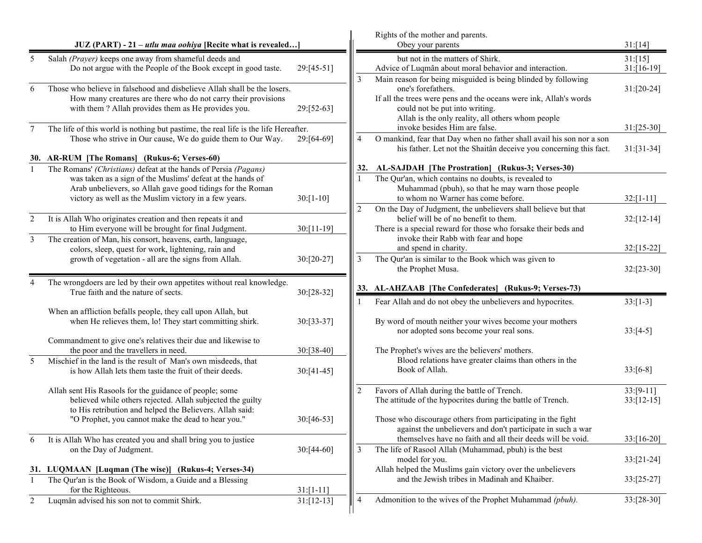|                |                                                                                                                                                                                                  |                |                | Rights of the mother and parents.                                                                                                                                                                                                               |                             |
|----------------|--------------------------------------------------------------------------------------------------------------------------------------------------------------------------------------------------|----------------|----------------|-------------------------------------------------------------------------------------------------------------------------------------------------------------------------------------------------------------------------------------------------|-----------------------------|
|                | JUZ (PART) - 21 – utlu maa oohiya [Recite what is revealed]                                                                                                                                      |                |                | Obey your parents                                                                                                                                                                                                                               | 31: [14]                    |
| 5              | Salah (Prayer) keeps one away from shameful deeds and<br>Do not argue with the People of the Book except in good taste.                                                                          | 29:[45-51]     |                | but not in the matters of Shirk.<br>Advice of Luqmân about moral behavior and interaction.                                                                                                                                                      | 31: [15]<br>$31: [16-19]$   |
| 6              | Those who believe in falsehood and disbelieve Allah shall be the losers.<br>How many creatures are there who do not carry their provisions<br>with them? Allah provides them as He provides you. | 29:[52-63]     | 3              | Main reason for being misguided is being blinded by following<br>one's forefathers.<br>If all the trees were pens and the oceans were ink, Allah's words<br>could not be put into writing.<br>Allah is the only reality, all others whom people | $31:[20-24]$                |
| $\tau$         | The life of this world is nothing but pastime, the real life is the life Hereafter.                                                                                                              |                |                | invoke besides Him are false.                                                                                                                                                                                                                   | $31:[25-30]$                |
|                | Those who strive in Our cause, We do guide them to Our Way.                                                                                                                                      | 29:[64-69]     | 4              | O mankind, fear that Day when no father shall avail his son nor a son<br>his father. Let not the Shaitân deceive you concerning this fact.                                                                                                      | $31: [31-34]$               |
|                | 30. AR-RUM [The Romans] (Rukus-6; Verses-60)<br>The Romans' (Christians) defeat at the hands of Persia (Pagans)                                                                                  |                | 32.            | AL-SAJDAH [The Prostration] (Rukus-3; Verses-30)                                                                                                                                                                                                |                             |
|                | was taken as a sign of the Muslims' defeat at the hands of<br>Arab unbelievers, so Allah gave good tidings for the Roman<br>victory as well as the Muslim victory in a few years.                | $30: [1-10]$   |                | The Qur'an, which contains no doubts, is revealed to<br>Muhammad (pbuh), so that he may warn those people<br>to whom no Warner has come before.                                                                                                 | $32:[1-11]$                 |
| $\overline{2}$ | It is Allah Who originates creation and then repeats it and<br>to Him everyone will be brought for final Judgment.                                                                               | $30:[11-19]$   | $\overline{2}$ | On the Day of Judgment, the unbelievers shall believe but that<br>belief will be of no benefit to them.<br>There is a special reward for those who forsake their beds and                                                                       | $32:[12-14]$                |
| 3              | The creation of Man, his consort, heavens, earth, language,<br>colors, sleep, quest for work, lightening, rain and                                                                               |                |                | invoke their Rabb with fear and hope<br>and spend in charity.                                                                                                                                                                                   | 32:[15-22]                  |
|                | growth of vegetation - all are the signs from Allah.                                                                                                                                             | $30:[20-27]$   | 3              | The Qur'an is similar to the Book which was given to<br>the Prophet Musa.                                                                                                                                                                       | $32: [23-30]$               |
| $\overline{4}$ | The wrongdoers are led by their own appetites without real knowledge.<br>True faith and the nature of sects.                                                                                     | 30:[28-32]     |                | 33. AL-AHZAAB [The Confederates] (Rukus-9; Verses-73)                                                                                                                                                                                           |                             |
|                | When an affliction befalls people, they call upon Allah, but                                                                                                                                     |                |                | Fear Allah and do not obey the unbelievers and hypocrites.                                                                                                                                                                                      | $33:[1-3]$                  |
|                | when He relieves them, lo! They start committing shirk.                                                                                                                                          | 30:[33-37]     |                | By word of mouth neither your wives become your mothers<br>nor adopted sons become your real sons.                                                                                                                                              | $33:[4-5]$                  |
|                | Commandment to give one's relatives their due and likewise to<br>the poor and the travellers in need.                                                                                            | $30:[38-40]$   |                | The Prophet's wives are the believers' mothers.                                                                                                                                                                                                 |                             |
| 5              | Mischief in the land is the result of Man's own misdeeds, that<br>is how Allah lets them taste the fruit of their deeds.                                                                         | $30:[41-45]$   |                | Blood relations have greater claims than others in the<br>Book of Allah.                                                                                                                                                                        | $33:[6-8]$                  |
|                | Allah sent His Rasools for the guidance of people; some<br>believed while others rejected. Allah subjected the guilty<br>to His retribution and helped the Believers. Allah said:                | 2              |                | Favors of Allah during the battle of Trench.<br>The attitude of the hypocrites during the battle of Trench.                                                                                                                                     | $33:[9-11]$<br>$33:[12-15]$ |
|                | "O Prophet, you cannot make the dead to hear you."                                                                                                                                               | 30:[46-53]     |                | Those who discourage others from participating in the fight<br>against the unbelievers and don't participate in such a war                                                                                                                      |                             |
| 6              | It is Allah Who has created you and shall bring you to justice                                                                                                                                   |                | 3              | themselves have no faith and all their deeds will be void.<br>The life of Rasool Allah (Muhammad, pbuh) is the best                                                                                                                             | $33:[16-20]$                |
|                | on the Day of Judgment.                                                                                                                                                                          | $30:[44-60]$   |                | model for you.                                                                                                                                                                                                                                  | $33:[21-24]$                |
|                | 31. LUQMAAN [Luqman (The wise)] (Rukus-4; Verses-34)                                                                                                                                             |                |                | Allah helped the Muslims gain victory over the unbelievers                                                                                                                                                                                      |                             |
| $\mathbf{1}$   | The Qur'an is the Book of Wisdom, a Guide and a Blessing<br>for the Righteous.                                                                                                                   | $31: [1 - 11]$ |                | and the Jewish tribes in Madinah and Khaiber.                                                                                                                                                                                                   | $33:[25-27]$                |
| 2              | Luqmân advised his son not to commit Shirk.                                                                                                                                                      | $31:[12-13]$   | 4              | Admonition to the wives of the Prophet Muhammad (pbuh).                                                                                                                                                                                         | $33:[28-30]$                |
|                |                                                                                                                                                                                                  |                |                |                                                                                                                                                                                                                                                 |                             |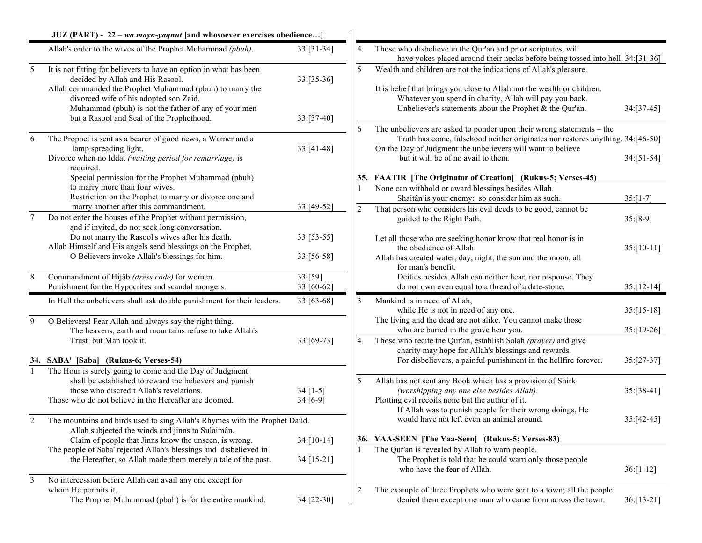|         | JUZ (PART) - 22 – wa mayn-yaqnut [and whosoever exercises obedience]                                                                                                                                                                                                                                              |                               |                |                                                                                                                                                                                                                                                                   |               |
|---------|-------------------------------------------------------------------------------------------------------------------------------------------------------------------------------------------------------------------------------------------------------------------------------------------------------------------|-------------------------------|----------------|-------------------------------------------------------------------------------------------------------------------------------------------------------------------------------------------------------------------------------------------------------------------|---------------|
|         | Allah's order to the wives of the Prophet Muhammad (pbuh).                                                                                                                                                                                                                                                        | $33: [31-34]$                 | $\overline{4}$ | Those who disbelieve in the Qur'an and prior scriptures, will<br>have yokes placed around their necks before being tossed into hell. 34:[31-36]                                                                                                                   |               |
| 5       | It is not fitting for believers to have an option in what has been<br>decided by Allah and His Rasool.<br>Allah commanded the Prophet Muhammad (pbuh) to marry the<br>divorced wife of his adopted son Zaid.<br>Muhammad (pbuh) is not the father of any of your men<br>but a Rasool and Seal of the Prophethood. | $33:[35-36]$<br>$33: [37-40]$ | 5              | Wealth and children are not the indications of Allah's pleasure.<br>It is belief that brings you close to Allah not the wealth or children.<br>Whatever you spend in charity, Allah will pay you back.<br>Unbeliever's statements about the Prophet & the Qur'an. | $34: [37-45]$ |
| 6       | The Prophet is sent as a bearer of good news, a Warner and a<br>lamp spreading light.<br>Divorce when no Iddat (waiting period for remarriage) is<br>required.                                                                                                                                                    | $33:[41-48]$                  | 6              | The unbelievers are asked to ponder upon their wrong statements – the<br>Truth has come, falsehood neither originates nor restores anything. 34:[46-50]<br>On the Day of Judgment the unbelievers will want to believe<br>but it will be of no avail to them.     | $34: [51-54]$ |
|         | Special permission for the Prophet Muhammad (pbuh)<br>to marry more than four wives.                                                                                                                                                                                                                              |                               |                | 35. FAATIR [The Originator of Creation] (Rukus-5; Verses-45)<br>None can withhold or award blessings besides Allah.                                                                                                                                               |               |
|         | Restriction on the Prophet to marry or divorce one and                                                                                                                                                                                                                                                            |                               |                | Shaitân is your enemy: so consider him as such.                                                                                                                                                                                                                   | $35:[1-7]$    |
| $\tau$  | marry another after this commandment.<br>Do not enter the houses of the Prophet without permission,<br>and if invited, do not seek long conversation.                                                                                                                                                             | 33:[49-52]                    | $\overline{2}$ | That person who considers his evil deeds to be good, cannot be<br>guided to the Right Path.                                                                                                                                                                       | $35:[8-9]$    |
|         | Do not marry the Rasool's wives after his death.<br>Allah Himself and His angels send blessings on the Prophet,<br>O Believers invoke Allah's blessings for him.                                                                                                                                                  | $33:[53-55]$<br>33:[56-58]    |                | Let all those who are seeking honor know that real honor is in<br>the obedience of Allah.<br>Allah has created water, day, night, the sun and the moon, all                                                                                                       | $35:[10-11]$  |
| $\,8\,$ | Commandment of Hijâb (dress code) for women.<br>Punishment for the Hypocrites and scandal mongers.                                                                                                                                                                                                                | 33:[59]<br>$33:[60-62]$       |                | for man's benefit.<br>Deities besides Allah can neither hear, nor response. They<br>do not own even equal to a thread of a date-stone.                                                                                                                            | $35:[12-14]$  |
|         | In Hell the unbelievers shall ask double punishment for their leaders.                                                                                                                                                                                                                                            | $33:[63-68]$                  | 3              | Mankind is in need of Allah,<br>while He is not in need of any one.                                                                                                                                                                                               | $35: [15-18]$ |
| 9       | O Believers! Fear Allah and always say the right thing.<br>The heavens, earth and mountains refuse to take Allah's                                                                                                                                                                                                |                               |                | The living and the dead are not alike. You cannot make those<br>who are buried in the grave hear you.                                                                                                                                                             | $35: [19-26]$ |
|         | Trust but Man took it.<br>34. SABA' [Saba] (Rukus-6; Verses-54)                                                                                                                                                                                                                                                   | $33:[69-73]$                  | $\overline{4}$ | Those who recite the Qur'an, establish Salah (prayer) and give<br>charity may hope for Allah's blessings and rewards.<br>For disbelievers, a painful punishment in the hellfire forever.                                                                          | $35:[27-37]$  |
| 1       | The Hour is surely going to come and the Day of Judgment<br>shall be established to reward the believers and punish<br>those who discredit Allah's revelations.<br>Those who do not believe in the Hereafter are doomed.                                                                                          | $34: [1-5]$<br>$34:[6-9]$     | 5              | Allah has not sent any Book which has a provision of Shirk<br>(worshipping any one else besides Allah).<br>Plotting evil recoils none but the author of it.<br>If Allah was to punish people for their wrong doings, He                                           | $35:[38-41]$  |
| 2       | The mountains and birds used to sing Allah's Rhymes with the Prophet Daûd.<br>Allah subjected the winds and jinns to Sulaimân.                                                                                                                                                                                    |                               |                | would have not left even an animal around.                                                                                                                                                                                                                        | 35:[42-45]    |
|         | Claim of people that Jinns know the unseen, is wrong.<br>The people of Saba' rejected Allah's blessings and disbelieved in                                                                                                                                                                                        | $34: [10-14]$                 |                | 36. YAA-SEEN [The Yaa-Seen] (Rukus-5; Verses-83)<br>The Qur'an is revealed by Allah to warn people.                                                                                                                                                               |               |
|         | the Hereafter, so Allah made them merely a tale of the past.                                                                                                                                                                                                                                                      | $34: [15-21]$                 |                | The Prophet is told that he could warn only those people<br>who have the fear of Allah.                                                                                                                                                                           | $36: [1-12]$  |
| 3       | No intercession before Allah can avail any one except for<br>whom He permits it.<br>The Prophet Muhammad (pbuh) is for the entire mankind.                                                                                                                                                                        | $34:[22-30]$                  | $\sqrt{2}$     | The example of three Prophets who were sent to a town; all the people<br>denied them except one man who came from across the town.                                                                                                                                | $36: [13-21]$ |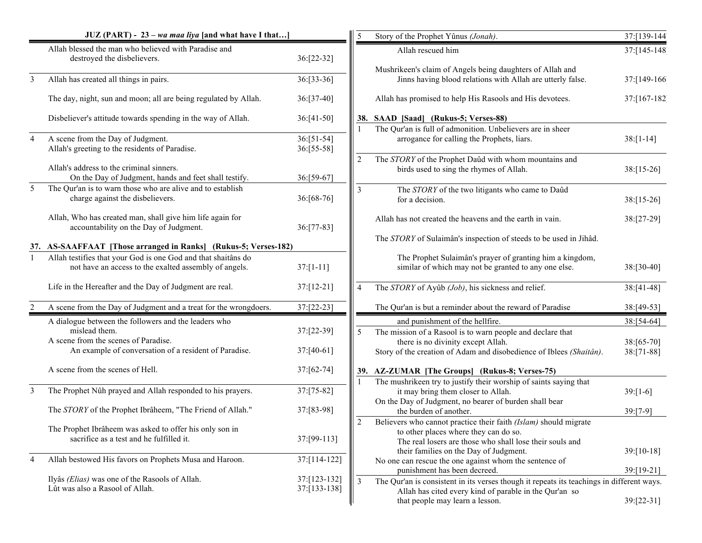|                | JUZ (PART) - 23 - wa maa liya [and what have I that]                                                                   |                              | 5              | Story of the Prophet Yûnus (Jonah).                                                                                                                                                                                    | 37:[139-144]               |
|----------------|------------------------------------------------------------------------------------------------------------------------|------------------------------|----------------|------------------------------------------------------------------------------------------------------------------------------------------------------------------------------------------------------------------------|----------------------------|
|                | Allah blessed the man who believed with Paradise and<br>destroyed the disbelievers.                                    | 36:[22-32]                   |                | Allah rescued him                                                                                                                                                                                                      | 37:[145-148]               |
| 3              | Allah has created all things in pairs.                                                                                 | 36:[33-36]                   |                | Mushrikeen's claim of Angels being daughters of Allah and<br>Jinns having blood relations with Allah are utterly false.                                                                                                | 37:[149-166]               |
|                | The day, night, sun and moon; all are being regulated by Allah.                                                        | 36:[37-40]                   |                | Allah has promised to help His Rasools and His devotees.                                                                                                                                                               | 37:[167-182]               |
|                | Disbeliever's attitude towards spending in the way of Allah.                                                           | $36:[41-50]$                 |                | 38. SAAD [Saad] (Rukus-5; Verses-88)<br>The Qur'an is full of admonition. Unbelievers are in sheer                                                                                                                     |                            |
| $\overline{4}$ | A scene from the Day of Judgment.<br>Allah's greeting to the residents of Paradise.                                    | 36:[51-54]<br>36:[55-58]     |                | arrogance for calling the Prophets, liars.                                                                                                                                                                             | $38:[1-14]$                |
|                | Allah's address to the criminal sinners.<br>On the Day of Judgment, hands and feet shall testify.                      | 36:[59-67]                   | 2              | The STORY of the Prophet Daûd with whom mountains and<br>birds used to sing the rhymes of Allah.                                                                                                                       | $38: [15-26]$              |
| 5              | The Qur'an is to warn those who are alive and to establish<br>charge against the disbelievers.                         | 36:[68-76]                   | $\overline{3}$ | The STORY of the two litigants who came to Daûd<br>for a decision.                                                                                                                                                     | $38: [15-26]$              |
|                | Allah, Who has created man, shall give him life again for<br>accountability on the Day of Judgment.                    | 36:[77-83]                   |                | Allah has not created the heavens and the earth in vain.                                                                                                                                                               | 38:[27-29]                 |
|                | 37. AS-SAAFFAAT [Those arranged in Ranks] (Rukus-5; Verses-182)                                                        |                              |                | The STORY of Sulaimân's inspection of steeds to be used in Jihâd.                                                                                                                                                      |                            |
| $\mathbf{1}$   | Allah testifies that your God is one God and that shaitans do<br>not have an access to the exalted assembly of angels. | $37:[1-11]$                  |                | The Prophet Sulaimân's prayer of granting him a kingdom,<br>similar of which may not be granted to any one else.                                                                                                       | 38:[30-40]                 |
|                | Life in the Hereafter and the Day of Judgment are real.                                                                | 37:[12-21]                   | $\overline{4}$ | The STORY of Ayûb (Job), his sickness and relief.                                                                                                                                                                      | $38: [41-48]$              |
| $\overline{2}$ | A scene from the Day of Judgment and a treat for the wrongdoers.                                                       | 37:[22-23]                   |                | The Qur'an is but a reminder about the reward of Paradise                                                                                                                                                              | 38:[49-53]                 |
|                | A dialogue between the followers and the leaders who<br>mislead them.<br>A scene from the scenes of Paradise.          | 37:[22-39]                   | 5              | and punishment of the hellfire.<br>The mission of a Rasool is to warn people and declare that<br>there is no divinity except Allah.                                                                                    | $38:[54-64]$<br>38:[65-70] |
|                | An example of conversation of a resident of Paradise.                                                                  | 37:[40-61]                   |                | Story of the creation of Adam and disobedience of Iblees (Shaitân).                                                                                                                                                    | 38:[71-88]                 |
|                | A scene from the scenes of Hell.                                                                                       | 37:[62-74]                   |                | 39. AZ-ZUMAR [The Groups] (Rukus-8; Verses-75)                                                                                                                                                                         |                            |
| 3              | The Prophet Nûh prayed and Allah responded to his prayers.                                                             | 37:[75-82]                   |                | The mushrikeen try to justify their worship of saints saying that<br>it may bring them closer to Allah.                                                                                                                | $39:[1-6]$                 |
|                | The STORY of the Prophet Ibrâheem, "The Friend of Allah."                                                              | 37:[83-98]                   |                | On the Day of Judgment, no bearer of burden shall bear<br>the burden of another.                                                                                                                                       | $39:[7-9]$                 |
|                | The Prophet Ibrâheem was asked to offer his only son in<br>sacrifice as a test and he fulfilled it.                    | 37:[99-113]                  | 2              | Believers who cannot practice their faith (Islam) should migrate<br>to other places where they can do so.<br>The real losers are those who shall lose their souls and<br>their families on the Day of Judgment.        | 39:[10-18]                 |
| 4              | Allah bestowed His favors on Prophets Musa and Haroon.                                                                 | 37:[114-122]                 |                | No one can rescue the one against whom the sentence of                                                                                                                                                                 |                            |
|                | Ilyâs (Elias) was one of the Rasools of Allah.<br>Lût was also a Rasool of Allah.                                      | 37:[123-132]<br>37:[133-138] | 3              | punishment has been decreed.<br>The Qur'an is consistent in its verses though it repeats its teachings in different ways.<br>Allah has cited every kind of parable in the Qur'an so<br>that people may learn a lesson. | 39:[19-21]<br>$39:[22-31]$ |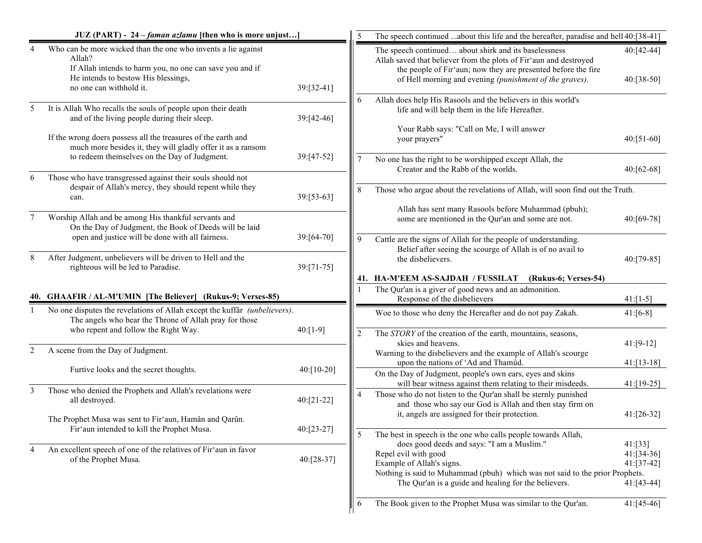|                | JUZ (PART) - 24 – faman azlamu [then who is more unjust]                                                                                                                                              |            |                | The speech continued about this life and the hereafter, paradise and hell 40:[38-41]                                                                                                                                                                   |                                        |
|----------------|-------------------------------------------------------------------------------------------------------------------------------------------------------------------------------------------------------|------------|----------------|--------------------------------------------------------------------------------------------------------------------------------------------------------------------------------------------------------------------------------------------------------|----------------------------------------|
| 4              | Who can be more wicked than the one who invents a lie against<br>Allah?<br>If Allah intends to harm you, no one can save you and if<br>He intends to bestow His blessings,<br>no one can withhold it. | 39:[32-41] |                | The speech continued about shirk and its baselessness<br>Allah saved that believer from the plots of Fir'aun and destroyed<br>the people of Fir'aun; now they are presented before the fire<br>of Hell morning and evening (punishment of the graves). | 40:[42-44]<br>40:[38-50]               |
| 5              | It is Allah Who recalls the souls of people upon their death<br>and of the living people during their sleep.                                                                                          | 39:[42-46] | 6              | Allah does help His Rasools and the believers in this world's<br>life and will help them in the life Hereafter.                                                                                                                                        |                                        |
|                | If the wrong doers possess all the treasures of the earth and<br>much more besides it, they will gladly offer it as a ransom                                                                          |            |                | Your Rabb says: "Call on Me, I will answer<br>your prayers"                                                                                                                                                                                            | $40:[51-60]$                           |
| 6              | to redeem themselves on the Day of Judgment.<br>Those who have transgressed against their souls should not                                                                                            | 39:[47-52] | $\tau$         | No one has the right to be worshipped except Allah, the<br>Creator and the Rabb of the worlds.                                                                                                                                                         | 40:[62-68]                             |
|                | despair of Allah's mercy, they should repent while they<br>can.                                                                                                                                       | 39:[53-63] | 8              | Those who argue about the revelations of Allah, will soon find out the Truth.                                                                                                                                                                          |                                        |
| 7              | Worship Allah and be among His thankful servants and<br>On the Day of Judgment, the Book of Deeds will be laid                                                                                        |            |                | Allah has sent many Rasools before Muhammad (pbuh);<br>some are mentioned in the Qur'an and some are not.                                                                                                                                              | 40:[69-78]                             |
|                | open and justice will be done with all fairness.<br>After Judgment, unbelievers will be driven to Hell and the                                                                                        | 39:[64-70] | 9              | Cattle are the signs of Allah for the people of understanding.<br>Belief after seeing the scourge of Allah is of no avail to                                                                                                                           |                                        |
| 8              | righteous will be led to Paradise.                                                                                                                                                                    | 39:[71-75] |                | the dishelievers.<br>41. HA-M'EEM AS-SAJDAH / FUSSILAT<br>(Rukus-6; Verses-54)                                                                                                                                                                         | 40:[79-85]                             |
|                | 40. GHAAFIR / AL-M'UMIN [The Believer] (Rukus-9; Verses-85)                                                                                                                                           |            |                | The Qur'an is a giver of good news and an admonition.<br>Response of the disbelievers                                                                                                                                                                  | $41:[1-5]$                             |
|                | No one disputes the revelations of Allah except the kuffar (unbelievers).<br>The angels who bear the Throne of Allah pray for those<br>who repent and follow the Right Way.                           | $40:[1-9]$ |                | Woe to those who deny the Hereafter and do not pay Zakah.                                                                                                                                                                                              | $41:[6-8]$                             |
| $\overline{c}$ | A scene from the Day of Judgment.                                                                                                                                                                     |            | $\overline{c}$ | The STORY of the creation of the earth, mountains, seasons,<br>skies and heavens.<br>Warning to the disbelievers and the example of Allah's scourge                                                                                                    | $41:[9-12]$                            |
|                | Furtive looks and the secret thoughts.                                                                                                                                                                | 40:[10-20] |                | upon the nations of 'Ad and Thamûd.<br>On the Day of Judgment, people's own ears, eyes and skins                                                                                                                                                       | $41: [13-18]$                          |
| 3              | Those who denied the Prophets and Allah's revelations were<br>all destroyed.                                                                                                                          | 40:[21-22] | 4              | will bear witness against them relating to their misdeeds.<br>Those who do not listen to the Qur'an shall be sternly punished                                                                                                                          | 41:[19-25]                             |
|                | The Prophet Musa was sent to Fir'aun, Hamân and Qarûn.                                                                                                                                                |            |                | and those who say our God is Allah and then stay firm on<br>it, angels are assigned for their protection.                                                                                                                                              | $41:[26-32]$                           |
|                | Fir'aun intended to kill the Prophet Musa.                                                                                                                                                            | 40:[23-27] | 5              | The best in speech is the one who calls people towards Allah,<br>does good deeds and says: "I am a Muslim."                                                                                                                                            | 41: [33]                               |
| 4              | An excellent speech of one of the relatives of Fir'aun in favor<br>of the Prophet Musa.                                                                                                               | 40:[28-37] |                | Repel evil with good<br>Example of Allah's signs.<br>Nothing is said to Muhammad (pbuh) which was not said to the prior Prophets.<br>The Qur'an is a guide and healing for the believers.                                                              | 41:[34-36]<br>41:[37-42]<br>41:[43-44] |
|                |                                                                                                                                                                                                       |            | 6              | The Book given to the Prophet Musa was similar to the Qur'an.                                                                                                                                                                                          | $41:[45-46]$                           |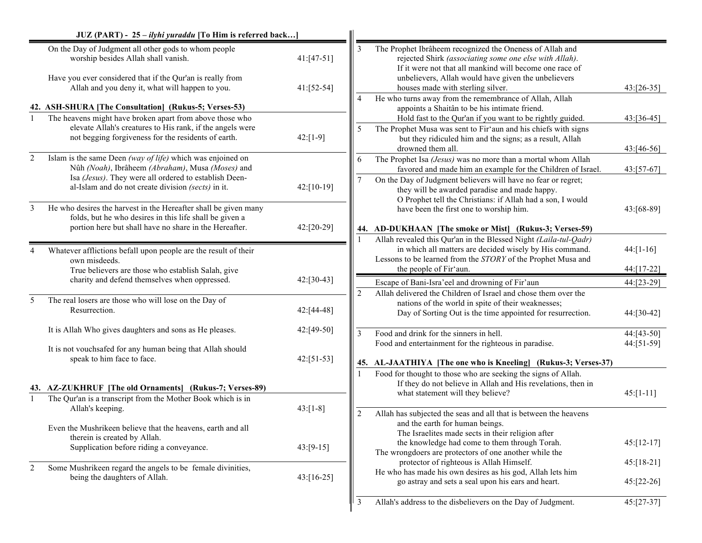|                  | JUZ (PART) - 25 - ilyhi yuraddu [To Him is referred back]                                                                                                                                                    |                            |                |                                                                                                                                                                                                                                                                           |                          |
|------------------|--------------------------------------------------------------------------------------------------------------------------------------------------------------------------------------------------------------|----------------------------|----------------|---------------------------------------------------------------------------------------------------------------------------------------------------------------------------------------------------------------------------------------------------------------------------|--------------------------|
|                  | On the Day of Judgment all other gods to whom people<br>worship besides Allah shall vanish.<br>Have you ever considered that if the Qur'an is really from<br>Allah and you deny it, what will happen to you. | $41:[47-51]$<br>41:[52-54] | 3              | The Prophet Ibrâheem recognized the Oneness of Allah and<br>rejected Shirk (associating some one else with Allah).<br>If it were not that all mankind will become one race of<br>unbelievers, Allah would have given the unbelievers<br>houses made with sterling silver. | 43:[26-35]               |
|                  |                                                                                                                                                                                                              |                            | 4              | He who turns away from the remembrance of Allah, Allah                                                                                                                                                                                                                    |                          |
|                  | 42. ASH-SHURA [The Consultation] (Rukus-5; Verses-53)                                                                                                                                                        |                            |                | appoints a Shaitân to be his intimate friend.                                                                                                                                                                                                                             |                          |
|                  | The heavens might have broken apart from above those who<br>elevate Allah's creatures to His rank, if the angels were<br>not begging for giveness for the residents of earth.                                | $42: [1-9]$                | 5              | Hold fast to the Qur'an if you want to be rightly guided.<br>The Prophet Musa was sent to Fir'aun and his chiefs with signs<br>but they ridiculed him and the signs; as a result, Allah<br>drowned them all.                                                              | 43:[36-45]<br>43:[46-56] |
| $\boldsymbol{2}$ | Islam is the same Deen (way of life) which was enjoined on<br>Nûh (Noah), Ibrâheem (Abraham), Musa (Moses) and                                                                                               |                            | 6              | The Prophet Isa (Jesus) was no more than a mortal whom Allah<br>favored and made him an example for the Children of Israel.                                                                                                                                               | 43:[57-67]               |
|                  | Isa (Jesus). They were all ordered to establish Deen-<br>al-Islam and do not create division (sects) in it.                                                                                                  | $42: [10-19]$              | 7              | On the Day of Judgment believers will have no fear or regret;<br>they will be awarded paradise and made happy.<br>O Prophet tell the Christians: if Allah had a son, I would                                                                                              |                          |
| 3                | He who desires the harvest in the Hereafter shall be given many<br>folds, but he who desires in this life shall be given a                                                                                   |                            |                | have been the first one to worship him.                                                                                                                                                                                                                                   | 43:[68-89]               |
|                  | portion here but shall have no share in the Hereafter.                                                                                                                                                       | 42:[20-29]                 |                | 44. AD-DUKHAAN [The smoke or Mist] (Rukus-3; Verses-59)                                                                                                                                                                                                                   |                          |
| 4                | Whatever afflictions befall upon people are the result of their<br>own misdeeds.                                                                                                                             |                            |                | Allah revealed this Qur'an in the Blessed Night (Laila-tul-Qadr)<br>in which all matters are decided wisely by His command.<br>Lessons to be learned from the STORY of the Prophet Musa and                                                                               | $44:[1-16]$              |
|                  | True believers are those who establish Salah, give                                                                                                                                                           |                            |                | the people of Fir'aun.                                                                                                                                                                                                                                                    | 44:[17-22]               |
|                  | charity and defend themselves when oppressed.                                                                                                                                                                | 42:[30-43]                 | 2              | Escape of Bani-Isra'eel and drowning of Fir'aun<br>Allah delivered the Children of Israel and chose them over the                                                                                                                                                         | 44:[23-29]               |
| 5                | The real losers are those who will lose on the Day of<br>Resurrection.                                                                                                                                       | 42:[44-48]                 |                | nations of the world in spite of their weaknesses;<br>Day of Sorting Out is the time appointed for resurrection.                                                                                                                                                          | 44:[30-42]               |
|                  | It is Allah Who gives daughters and sons as He pleases.                                                                                                                                                      | 42:[49-50]                 | 3              | Food and drink for the sinners in hell.                                                                                                                                                                                                                                   | 44:[43-50]               |
|                  | It is not vouchsafed for any human being that Allah should<br>speak to him face to face.                                                                                                                     | $42:[51-53]$               |                | Food and entertainment for the righteous in paradise.                                                                                                                                                                                                                     | 44:[51-59]               |
|                  |                                                                                                                                                                                                              |                            |                | 45. AL-JAATHIYA [The one who is Kneeling] (Rukus-3; Verses-37)<br>Food for thought to those who are seeking the signs of Allah.                                                                                                                                           |                          |
|                  | 43. AZ-ZUKHRUF [The old Ornaments] (Rukus-7; Verses-89)                                                                                                                                                      |                            |                | If they do not believe in Allah and His revelations, then in<br>what statement will they believe?                                                                                                                                                                         | $45: [1 - 11]$           |
| $\mathbf{1}$     | The Qur'an is a transcript from the Mother Book which is in<br>Allah's keeping.                                                                                                                              | $43: [1-8]$                | $\overline{c}$ | Allah has subjected the seas and all that is between the heavens                                                                                                                                                                                                          |                          |
|                  | Even the Mushrikeen believe that the heavens, earth and all<br>therein is created by Allah.                                                                                                                  |                            |                | and the earth for human beings.<br>The Israelites made sects in their religion after                                                                                                                                                                                      |                          |
|                  | Supplication before riding a conveyance.                                                                                                                                                                     | $43:[9-15]$                |                | the knowledge had come to them through Torah.<br>The wrongdoers are protectors of one another while the                                                                                                                                                                   | $45: [12-17]$            |
| 2                | Some Mushrikeen regard the angels to be female divinities,                                                                                                                                                   |                            |                | protector of righteous is Allah Himself.<br>He who has made his own desires as his god, Allah lets him                                                                                                                                                                    | $45: [18-21]$            |
|                  | being the daughters of Allah.                                                                                                                                                                                | $43: [16-25]$              |                | go astray and sets a seal upon his ears and heart.                                                                                                                                                                                                                        | 45:[22-26]               |
|                  |                                                                                                                                                                                                              |                            | 3              | Allah's address to the disbelievers on the Day of Judgment.                                                                                                                                                                                                               | 45:[27-37]               |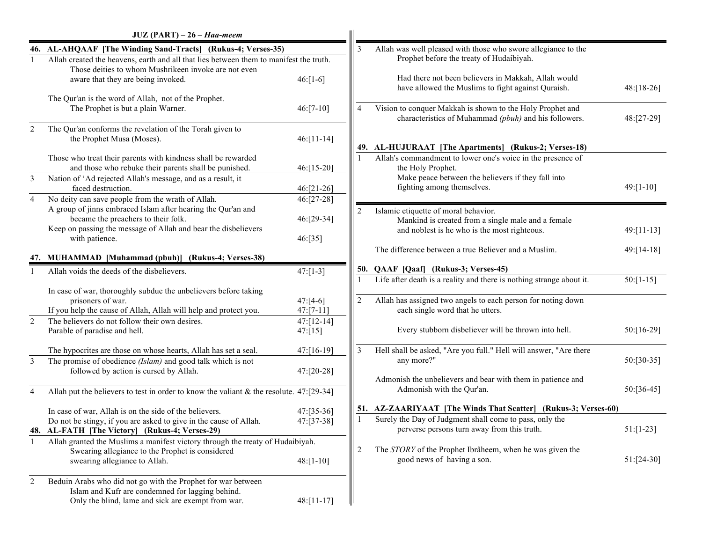|                | $JUZ (PART) - 26 - Haa-meem$                                                                                                                                                                                                                 |                                     |                |                                                                                                                                                                          |               |
|----------------|----------------------------------------------------------------------------------------------------------------------------------------------------------------------------------------------------------------------------------------------|-------------------------------------|----------------|--------------------------------------------------------------------------------------------------------------------------------------------------------------------------|---------------|
|                | 46. AL-AHQAAF [The Winding Sand-Tracts] (Rukus-4; Verses-35)                                                                                                                                                                                 |                                     | 3              | Allah was well pleased with those who swore allegiance to the                                                                                                            |               |
|                | Allah created the heavens, earth and all that lies between them to manifest the truth.<br>Those deities to whom Mushrikeen invoke are not even<br>aware that they are being invoked.                                                         | $46: [1-6]$                         |                | Prophet before the treaty of Hudaibiyah.<br>Had there not been believers in Makkah, Allah would<br>have allowed the Muslims to fight against Quraish.                    | $48: [18-26]$ |
|                | The Qur'an is the word of Allah, not of the Prophet.<br>The Prophet is but a plain Warner.                                                                                                                                                   | $46:[7-10]$                         | $\Delta$       | Vision to conquer Makkah is shown to the Holy Prophet and<br>characteristics of Muhammad (pbuh) and his followers.                                                       | 48:[27-29]    |
| $\overline{2}$ | The Qur'an conforms the revelation of the Torah given to<br>the Prophet Musa (Moses).                                                                                                                                                        | $46: [11-14]$                       |                | 49. AL-HUJURAAT [The Apartments] (Rukus-2; Verses-18)                                                                                                                    |               |
|                | Those who treat their parents with kindness shall be rewarded<br>and those who rebuke their parents shall be punished.                                                                                                                       | $46: [15-20]$                       |                | Allah's commandment to lower one's voice in the presence of<br>the Holy Prophet.                                                                                         |               |
| $\mathfrak{Z}$ | Nation of 'Ad rejected Allah's message, and as a result, it<br>faced destruction.                                                                                                                                                            | $46:[21-26]$                        |                | Make peace between the believers if they fall into<br>fighting among themselves.                                                                                         | $49: [1-10]$  |
| $\overline{4}$ | No deity can save people from the wrath of Allah.<br>A group of jinns embraced Islam after hearing the Qur'an and<br>became the preachers to their folk.<br>Keep on passing the message of Allah and bear the disbelievers<br>with patience. | 46:[27-28]<br>46:[29-34]<br>46:[35] |                | Islamic etiquette of moral behavior.<br>Mankind is created from a single male and a female<br>and noblest is he who is the most righteous.                               | 49:[11-13]    |
|                | 47. MUHAMMAD [Muhammad (pbuh)] (Rukus-4; Verses-38)                                                                                                                                                                                          |                                     |                | The difference between a true Believer and a Muslim.                                                                                                                     | 49:[14-18]    |
|                | Allah voids the deeds of the disbelievers.                                                                                                                                                                                                   | $47:[1-3]$                          |                | 50. QAAF [Qaaf] (Rukus-3; Verses-45)                                                                                                                                     |               |
|                | In case of war, thoroughly subdue the unbelievers before taking<br>prisoners of war.<br>If you help the cause of Allah, Allah will help and protect you.                                                                                     | $47:[4-6]$<br>$47: [7-11]$          | $\overline{2}$ | Life after death is a reality and there is nothing strange about it.<br>Allah has assigned two angels to each person for noting down<br>each single word that he utters. | $50:[1-15]$   |
| 2              | The believers do not follow their own desires.<br>Parable of paradise and hell.                                                                                                                                                              | $47: [12-14]$<br>47: [15]           |                | Every stubborn disbeliever will be thrown into hell.                                                                                                                     | 50:[16-29]    |
| $\overline{3}$ | The hypocrites are those on whose hearts, Allah has set a seal.<br>The promise of obedience (Islam) and good talk which is not<br>followed by action is cursed by Allah.                                                                     | 47:[16-19]<br>47:[20-28]            | 3              | Hell shall be asked, "Are you full." Hell will answer, "Are there<br>any more?"                                                                                          | $50: [30-35]$ |
| $\overline{4}$ | Allah put the believers to test in order to know the valiant $\&$ the resolute. 47:[29-34]                                                                                                                                                   |                                     |                | Admonish the unbelievers and bear with them in patience and<br>Admonish with the Qur'an.                                                                                 | 50:[36-45]    |
|                | In case of war, Allah is on the side of the believers.<br>Do not be stingy, if you are asked to give in the cause of Allah.<br>48. AL-FATH [The Victory] (Rukus-4; Verses-29)                                                                | 47:[35-36]<br>47:[37-38]            |                | 51. AZ-ZAARIYAAT [The Winds That Scatter] (Rukus-3; Verses-60)<br>Surely the Day of Judgment shall come to pass, only the<br>perverse persons turn away from this truth. | $51: [1-23]$  |
|                | Allah granted the Muslims a manifest victory through the treaty of Hudaibiyah.<br>Swearing allegiance to the Prophet is considered<br>swearing allegiance to Allah.                                                                          | $48: [1-10]$                        | $\overline{2}$ | The STORY of the Prophet Ibrâheem, when he was given the<br>good news of having a son.                                                                                   | $51:[24-30]$  |
| 2              | Beduin Arabs who did not go with the Prophet for war between<br>Islam and Kufr are condemned for lagging behind.<br>Only the blind, lame and sick are exempt from war.                                                                       | 48:[11-17]                          |                |                                                                                                                                                                          |               |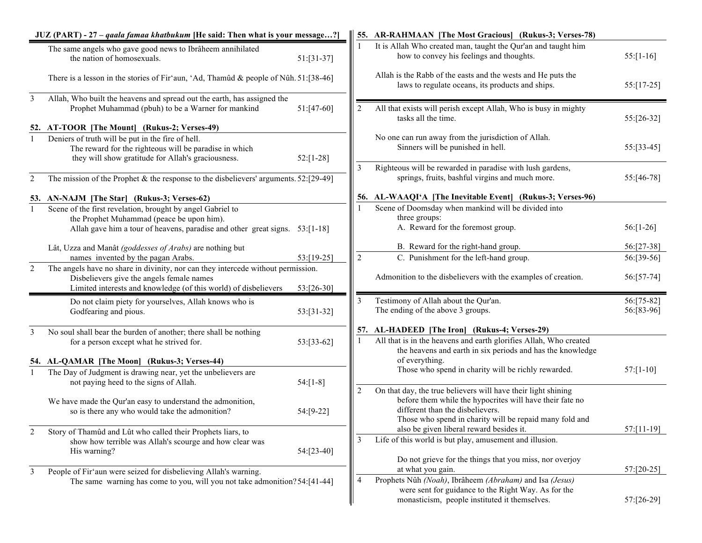| JUZ (PART) - 27 - qaala famaa khatbukum [He said: Then what is your message?] |                                                                                                                                                                                                  |               |                | 55. AR-RAHMAAN [The Most Gracious] (Rukus-3; Verses-78)                                                                                                         |                          |  |
|-------------------------------------------------------------------------------|--------------------------------------------------------------------------------------------------------------------------------------------------------------------------------------------------|---------------|----------------|-----------------------------------------------------------------------------------------------------------------------------------------------------------------|--------------------------|--|
|                                                                               | The same angels who gave good news to Ibrâheem annihilated<br>the nation of homosexuals.                                                                                                         | $51: [31-37]$ |                | It is Allah Who created man, taught the Qur'an and taught him<br>how to convey his feelings and thoughts.                                                       | $55: [1-16]$             |  |
|                                                                               | There is a lesson in the stories of Fir'aun, 'Ad, Thamûd & people of Nûh. 51:[38-46]                                                                                                             |               |                | Allah is the Rabb of the easts and the wests and He puts the<br>laws to regulate oceans, its products and ships.                                                | $55: [17-25]$            |  |
| 3                                                                             | Allah, Who built the heavens and spread out the earth, has assigned the<br>Prophet Muhammad (pbuh) to be a Warner for mankind                                                                    | 51:[47-60]    |                | All that exists will perish except Allah, Who is busy in mighty<br>tasks all the time.                                                                          | 55:[26-32]               |  |
|                                                                               | 52. AT-TOOR [The Mount] (Rukus-2; Verses-49)                                                                                                                                                     |               |                |                                                                                                                                                                 |                          |  |
|                                                                               | Deniers of truth will be put in the fire of hell.<br>The reward for the righteous will be paradise in which<br>they will show gratitude for Allah's graciousness.                                | $52: [1-28]$  |                | No one can run away from the jurisdiction of Allah.<br>Sinners will be punished in hell.                                                                        | 55:[33-45]               |  |
| 2                                                                             | The mission of the Prophet & the response to the disbelievers' arguments. $52:[29-49]$                                                                                                           |               | 3              | Righteous will be rewarded in paradise with lush gardens,<br>springs, fruits, bashful virgins and much more.                                                    | 55:[46-78]               |  |
|                                                                               | 53. AN-NAJM [The Star] (Rukus-3; Verses-62)                                                                                                                                                      |               |                | 56. AL-WAAQI'A [The Inevitable Event] (Rukus-3; Verses-96)                                                                                                      |                          |  |
| $\mathbf{1}$                                                                  | Scene of the first revelation, brought by angel Gabriel to                                                                                                                                       |               |                | Scene of Doomsday when mankind will be divided into                                                                                                             |                          |  |
|                                                                               | the Prophet Muhammad (peace be upon him).<br>Allah gave him a tour of heavens, paradise and other great signs. 53:[1-18]                                                                         |               |                | three groups:<br>A. Reward for the foremost group.                                                                                                              | $56$ :[1-26]             |  |
|                                                                               | Lât, Uzza and Manât (goddesses of Arabs) are nothing but                                                                                                                                         |               |                | B. Reward for the right-hand group.                                                                                                                             | 56:[27-38]               |  |
|                                                                               | names invented by the pagan Arabs.                                                                                                                                                               | 53:[19-25]    | $\overline{c}$ | C. Punishment for the left-hand group.                                                                                                                          | 56:[39-56]               |  |
| $\overline{2}$                                                                | The angels have no share in divinity, nor can they intercede without permission.<br>Disbelievers give the angels female names<br>Limited interests and knowledge (of this world) of disbelievers | 53:[26-30]    |                | Admonition to the disbelievers with the examples of creation.                                                                                                   | 56:[57-74]               |  |
|                                                                               | Do not claim piety for yourselves, Allah knows who is<br>Godfearing and pious.                                                                                                                   | 53:[31-32]    | 3              | Testimony of Allah about the Qur'an.<br>The ending of the above 3 groups.                                                                                       | 56:[75-82]<br>56:[83-96] |  |
| 3                                                                             | No soul shall bear the burden of another; there shall be nothing                                                                                                                                 |               |                | 57. AL-HADEED [The Iron] (Rukus-4; Verses-29)                                                                                                                   |                          |  |
|                                                                               | for a person except what he strived for.                                                                                                                                                         | 53:[33-62]    |                | All that is in the heavens and earth glorifies Allah, Who created<br>the heavens and earth in six periods and has the knowledge                                 |                          |  |
|                                                                               | 54. AL-QAMAR [The Moon] (Rukus-3; Verses-44)                                                                                                                                                     |               |                | of everything.                                                                                                                                                  |                          |  |
|                                                                               | The Day of Judgment is drawing near, yet the unbelievers are<br>not paying heed to the signs of Allah.                                                                                           | $54:[1-8]$    |                | Those who spend in charity will be richly rewarded.<br>On that day, the true believers will have their light shining                                            | $57: [1-10]$             |  |
|                                                                               | We have made the Qur'an easy to understand the admonition,<br>so is there any who would take the admonition?                                                                                     | 54:[9-22]     | 2              | before them while the hypocrites will have their fate no<br>different than the disbelievers.<br>Those who spend in charity will be repaid many fold and         |                          |  |
| 2                                                                             | Story of Thamûd and Lût who called their Prophets liars, to                                                                                                                                      |               | $\overline{3}$ | also be given liberal reward besides it.<br>Life of this world is but play, amusement and illusion.                                                             | 57:[11-19]               |  |
|                                                                               | show how terrible was Allah's scourge and how clear was<br>His warning?                                                                                                                          | 54:[23-40]    |                |                                                                                                                                                                 |                          |  |
|                                                                               |                                                                                                                                                                                                  |               |                | Do not grieve for the things that you miss, nor overjoy<br>at what you gain.                                                                                    | 57:[20-25]               |  |
| 3                                                                             | People of Fir'aun were seized for disbelieving Allah's warning.<br>The same warning has come to you, will you not take admonition? 54: [41-44]                                                   |               | 4              | Prophets Nûh (Noah), Ibrâheem (Abraham) and Isa (Jesus)<br>were sent for guidance to the Right Way. As for the<br>monasticism, people instituted it themselves. | 57:[26-29]               |  |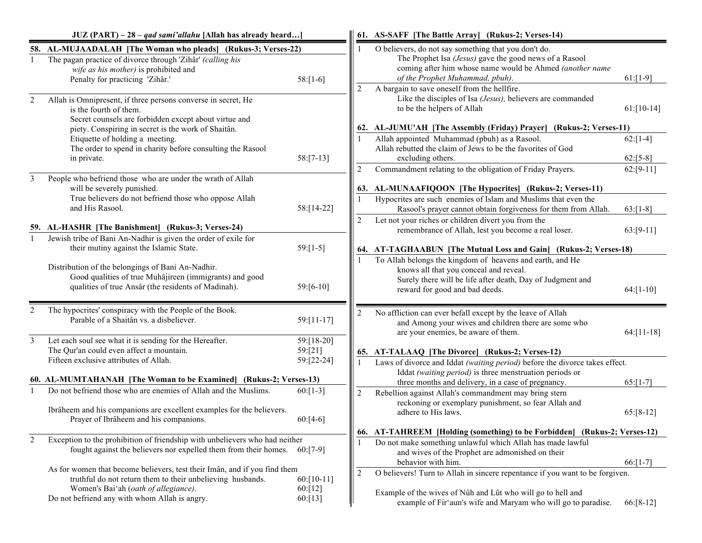|                | $JUZ (PART) - 28 - qad sami'allahu$ [Allah has already heard]                                                                                                                                                                    |                                     |                | 61. AS-SAFF [The Battle Array] (Rukus-2; Verses-14)                                                                                                                                                                                                           |                            |
|----------------|----------------------------------------------------------------------------------------------------------------------------------------------------------------------------------------------------------------------------------|-------------------------------------|----------------|---------------------------------------------------------------------------------------------------------------------------------------------------------------------------------------------------------------------------------------------------------------|----------------------------|
|                | 58. AL-MUJAADALAH [The Woman who pleads] (Rukus-3; Verses-22)<br>The pagan practice of divorce through 'Zihâr' (calling his<br>wife as his mother) is prohibited and<br>Penalty for practicing 'Zihâr.'                          | $58:[1-6]$                          |                | O believers, do not say something that you don't do.<br>The Prophet Isa (Jesus) gave the good news of a Rasool<br>coming after him whose name would be Ahmed (another name<br>of the Prophet Muhammad, pbuh).<br>A bargain to save oneself from the hellfire. | $61: [1-9]$                |
| 2              | Allah is Omnipresent, if three persons converse in secret, He<br>is the fourth of them.<br>Secret counsels are forbidden except about virtue and<br>piety. Conspiring in secret is the work of Shaitân.                          |                                     | 2              | Like the disciples of Isa (Jesus), believers are commanded<br>to be the helpers of Allah<br>62. AL-JUMU'AH [The Assembly (Friday) Prayer] (Rukus-2; Verses-11)                                                                                                | $61: [10-14]$              |
|                | Etiquette of holding a meeting.<br>The order to spend in charity before consulting the Rasool<br>in private.                                                                                                                     | $58: [7-13]$                        |                | Allah appointed Muhammad (pbuh) as a Rasool.<br>Allah rebutted the claim of Jews to be the favorites of God<br>excluding others.                                                                                                                              | $62: [1-4]$<br>$62: [5-8]$ |
| 3              | People who befriend those who are under the wrath of Allah<br>will be severely punished.<br>True believers do not befriend those who oppose Allah<br>and His Rasool.                                                             | 58:[14-22]                          | 2              | Commandment relating to the obligation of Friday Prayers.<br>63. AL-MUNAAFIQOON [The Hypocrites] (Rukus-2; Verses-11)<br>Hypocrites are such enemies of Islam and Muslims that even the<br>Rasool's prayer cannot obtain forgiveness for them from Allah.     | $62: [9-11]$<br>$63:[1-8]$ |
| $\mathbf{1}$   | 59. AL-HASHR [The Banishment] (Rukus-3; Verses-24)<br>Jewish tribe of Bani An-Nadhir is given the order of exile for<br>their mutiny against the Islamic State.                                                                  | $59:[1-5]$                          | $\overline{c}$ | Let not your riches or children divert you from the<br>remembrance of Allah, lest you become a real loser.<br>64. AT-TAGHAABUN [The Mutual Loss and Gain] (Rukus-2; Verses-18)                                                                                | $63:[9-11]$                |
|                | Distribution of the belongings of Bani An-Nadhir.<br>Good qualities of true Muhâjireen (immigrants) and good<br>qualities of true Ansâr (the residents of Madinah).                                                              | $59: [6-10]$                        |                | To Allah belongs the kingdom of heavens and earth, and He<br>knows all that you conceal and reveal.<br>Surely there will be life after death, Day of Judgment and<br>reward for good and bad deeds.                                                           | $64$ :[1-10]               |
| $\mathfrak{D}$ | The hypocrites' conspiracy with the People of the Book.<br>Parable of a Shaitân vs. a disbeliever.                                                                                                                               | 59:[11-17]                          | $\overline{2}$ | No affliction can ever befall except by the leave of Allah<br>and Among your wives and children there are some who<br>are your enemies, be aware of them.                                                                                                     | $64$ :[11-18]              |
| $\mathbf{3}$   | Let each soul see what it is sending for the Hereafter.<br>The Qur'an could even affect a mountain.<br>Fifteen exclusive attributes of Allah.                                                                                    | 59:[18-20]<br>59:[21]<br>59:[22-24] |                | 65. AT-TALAAQ [The Divorce] (Rukus-2; Verses-12)<br>Laws of divorce and Iddat (waiting period) before the divorce takes effect.                                                                                                                               |                            |
|                | 60. AL-MUMTAHANAH [The Woman to be Examined] (Rukus-2; Verses-13)                                                                                                                                                                |                                     |                | Iddat (waiting period) is three menstruation periods or<br>three months and delivery, in a case of pregnancy.                                                                                                                                                 | $65: [1-7]$                |
| $\mathbf{1}$   | Do not befriend those who are enemies of Allah and the Muslims.<br>Ibrâheem and his companions are excellent examples for the believers.<br>Prayer of Ibrâheem and his companions.                                               | $60: [1-3]$<br>$60:[4-6]$           | $\overline{2}$ | Rebellion against Allah's commandment may bring stern<br>reckoning or exemplary punishment, so fear Allah and<br>adhere to His laws.<br>66. AT-TAHREEM [Holding (something) to be Forbidden] (Rukus-2; Verses-12)                                             | $65: [8-12]$               |
| 2              | Exception to the prohibition of friendship with unbelievers who had neither<br>fought against the believers nor expelled them from their homes. 60:[7-9]                                                                         |                                     |                | Do not make something unlawful which Allah has made lawful<br>and wives of the Prophet are admonished on their<br>behavior with him.                                                                                                                          | $66: [1-7]$                |
|                | As for women that become believers, test their Imân, and if you find them<br>truthful do not return them to their unbelieving husbands.<br>Women's Bai'ah (oath of allegiance).<br>Do not befriend any with whom Allah is angry. | $60: [10-11]$<br>60:[12]<br>60:[13] | $\overline{2}$ | O believers! Turn to Allah in sincere repentance if you want to be forgiven.<br>Example of the wives of Nûh and Lût who will go to hell and<br>example of Fir'aun's wife and Maryam who will go to paradise.                                                  | $66: [8-12]$               |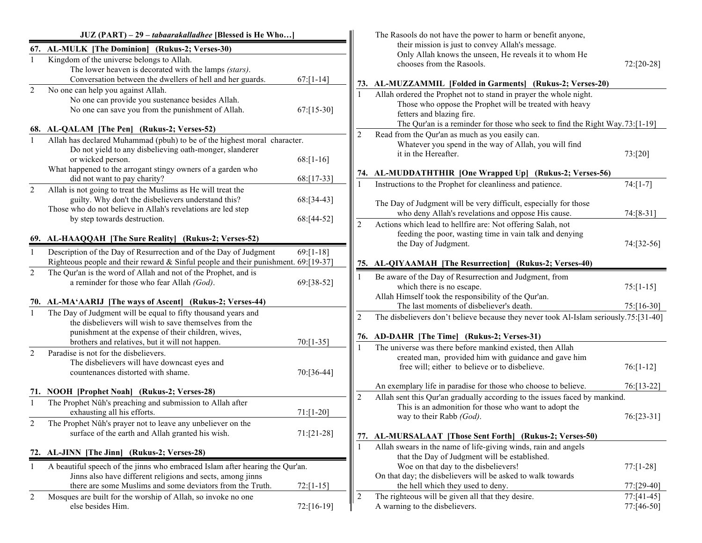|                | JUZ (PART) - 29 - tabaarakalladhee [Blessed is He Who]                                                                                                                                                                  |               |                | The Rasools do not have the power to harm or benefit anyone,                                                                                                                                                                             |                             |
|----------------|-------------------------------------------------------------------------------------------------------------------------------------------------------------------------------------------------------------------------|---------------|----------------|------------------------------------------------------------------------------------------------------------------------------------------------------------------------------------------------------------------------------------------|-----------------------------|
|                | 67. AL-MULK [The Dominion] (Rukus-2; Verses-30)<br>Kingdom of the universe belongs to Allah.<br>The lower heaven is decorated with the lamps (stars).<br>Conversation between the dwellers of hell and her guards.      | $67: [1-14]$  |                | their mission is just to convey Allah's message.<br>Only Allah knows the unseen, He reveals it to whom He<br>chooses from the Rasools.                                                                                                   | 72:[20-28]                  |
| $\overline{2}$ | No one can help you against Allah.                                                                                                                                                                                      |               |                | 73. AL-MUZZAMMIL [Folded in Garments] (Rukus-2; Verses-20)                                                                                                                                                                               |                             |
|                | No one can provide you sustenance besides Allah.<br>No one can save you from the punishment of Allah.                                                                                                                   | $67: [15-30]$ |                | Allah ordered the Prophet not to stand in prayer the whole night.<br>Those who oppose the Prophet will be treated with heavy<br>fetters and blazing fire.<br>The Qur'an is a reminder for those who seek to find the Right Way.73:[1-19] |                             |
|                | 68. AL-QALAM [The Pen] (Rukus-2; Verses-52)                                                                                                                                                                             |               | 2              | Read from the Qur'an as much as you easily can.                                                                                                                                                                                          |                             |
| $\mathbf{1}$   | Allah has declared Muhammad (pbuh) to be of the highest moral character.<br>Do not yield to any disbelieving oath-monger, slanderer<br>or wicked person.<br>What happened to the arrogant stingy owners of a garden who | $68:[1-16]$   |                | Whatever you spend in the way of Allah, you will find<br>it in the Hereafter.                                                                                                                                                            | 73:[20]                     |
|                | did not want to pay charity?                                                                                                                                                                                            | 68:[17-33]    |                | 74. AL-MUDDATHTHIR [One Wrapped Up] (Rukus-2; Verses-56)<br>Instructions to the Prophet for cleanliness and patience.                                                                                                                    | $74:[1-7]$                  |
| $\overline{2}$ | Allah is not going to treat the Muslims as He will treat the<br>guilty. Why don't the disbelievers understand this?<br>Those who do not believe in Allah's revelations are led step                                     | 68:[34-43]    |                | The Day of Judgment will be very difficult, especially for those<br>who deny Allah's revelations and oppose His cause.                                                                                                                   | 74:[8-31]                   |
|                | by step towards destruction.                                                                                                                                                                                            | 68:[44-52]    | 2              | Actions which lead to hellfire are: Not offering Salah, not<br>feeding the poor, wasting time in vain talk and denying                                                                                                                   |                             |
|                | 69. AL-HAAQQAH [The Sure Reality] (Rukus-2; Verses-52)                                                                                                                                                                  |               |                | the Day of Judgment.                                                                                                                                                                                                                     | 74:[32-56]                  |
|                | Description of the Day of Resurrection and of the Day of Judgment<br>Righteous people and their reward & Sinful people and their punishment. 69:[19-37]                                                                 | $69: [1-18]$  |                | 75. AL-QIYAAMAH [The Resurrection] (Rukus-2; Verses-40)                                                                                                                                                                                  |                             |
| $\overline{2}$ | The Qur'an is the word of Allah and not of the Prophet, and is<br>a reminder for those who fear Allah (God).                                                                                                            | 69:[38-52]    |                | Be aware of the Day of Resurrection and Judgment, from<br>which there is no escape.                                                                                                                                                      | $75: [1-15]$                |
|                | 70. AL-MA'AARIJ [The ways of Ascent] (Rukus-2; Verses-44)                                                                                                                                                               |               |                | Allah Himself took the responsibility of the Qur'an.<br>The last moments of disbeliever's death.                                                                                                                                         | 75:[16-30]                  |
| $\mathbf{1}$   | The Day of Judgment will be equal to fifty thousand years and<br>the disbelievers will wish to save themselves from the<br>punishment at the expense of their children, wives,                                          |               | 2              | The disbelievers don't believe because they never took Al-Islam seriously.75:[31-40]<br>76. AD-DAHR [The Time] (Rukus-2; Verses-31)                                                                                                      |                             |
|                | brothers and relatives, but it will not happen.                                                                                                                                                                         | $70: [1-35]$  |                | The universe was there before mankind existed, then Allah                                                                                                                                                                                |                             |
| $\overline{2}$ | Paradise is not for the disbelievers.<br>The disbelievers will have downcast eyes and<br>countenances distorted with shame.                                                                                             | 70:[36-44]    |                | created man, provided him with guidance and gave him<br>free will; either to believe or to disbelieve.                                                                                                                                   | $76: [1-12]$                |
|                | 71. NOOH [Prophet Noah] (Rukus-2; Verses-28)                                                                                                                                                                            |               |                | An exemplary life in paradise for those who choose to believe.                                                                                                                                                                           | 76:[13-22]                  |
| $\mathbf{1}$   | The Prophet Nûh's preaching and submission to Allah after<br>exhausting all his efforts.                                                                                                                                | $71: [1-20]$  | 2              | Allah sent this Qur'an gradually according to the issues faced by mankind.<br>This is an admonition for those who want to adopt the<br>way to their Rabb (God).                                                                          | $76: [23-31]$               |
| 2              | The Prophet Nûh's prayer not to leave any unbeliever on the<br>surface of the earth and Allah granted his wish.                                                                                                         | $71: [21-28]$ | 77.            | AL-MURSALAAT [Those Sent Forth] (Rukus-2; Verses-50)                                                                                                                                                                                     |                             |
|                | 72. AL-JINN [The Jinn] (Rukus-2; Verses-28)                                                                                                                                                                             |               |                | Allah swears in the name of life-giving winds, rain and angels                                                                                                                                                                           |                             |
|                | A beautiful speech of the jinns who embraced Islam after hearing the Qur'an.<br>Jinns also have different religions and sects, among jinns                                                                              |               |                | that the Day of Judgment will be established.<br>Woe on that day to the disbelievers!<br>On that day; the disbelievers will be asked to walk towards                                                                                     | $77: [1-28]$                |
|                | there are some Muslims and some deviators from the Truth.                                                                                                                                                               | $72:[1-15]$   |                | the hell which they used to deny.                                                                                                                                                                                                        | 77:[29-40]                  |
| $\overline{c}$ | Mosques are built for the worship of Allah, so invoke no one<br>else besides Him.                                                                                                                                       | $72:[16-19]$  | $\overline{2}$ | The righteous will be given all that they desire.<br>A warning to the disbelievers.                                                                                                                                                      | $77: [41-45]$<br>77:[46-50] |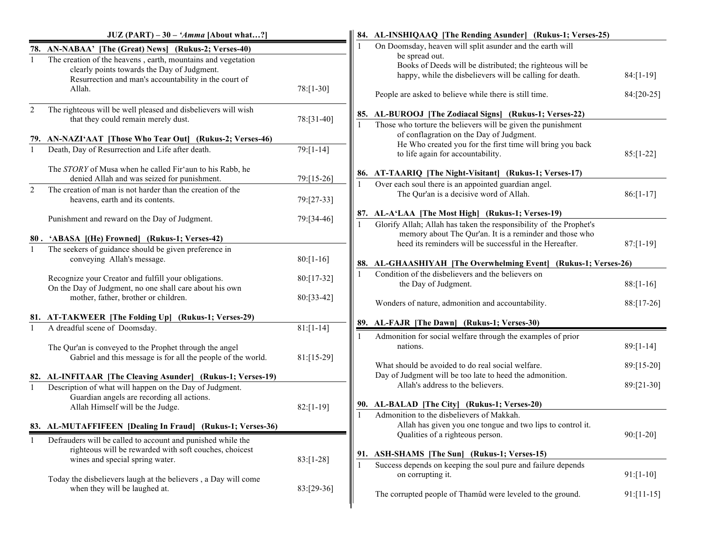|                | $JUZ (PART) - 30 - 'Amma$ [About what?]                                                                                                                                                                                                 |                | 84. AL-INSHIQAAQ [The Rending Asunder] (Rukus-1; Verses-25)                                                                                                                                          |                |
|----------------|-----------------------------------------------------------------------------------------------------------------------------------------------------------------------------------------------------------------------------------------|----------------|------------------------------------------------------------------------------------------------------------------------------------------------------------------------------------------------------|----------------|
|                | 78. AN-NABAA' [The (Great) News] (Rukus-2; Verses-40)<br>The creation of the heavens, earth, mountains and vegetation<br>clearly points towards the Day of Judgment.<br>Resurrection and man's accountability in the court of<br>Allah. | $78: [1-30]$   | On Doomsday, heaven will split asunder and the earth will<br>be spread out.<br>Books of Deeds will be distributed; the righteous will be<br>happy, while the disbelievers will be calling for death. | $84: [1-19]$   |
| $\overline{2}$ | The righteous will be well pleased and disbelievers will wish<br>that they could remain merely dust.                                                                                                                                    | $78:[31-40]$   | People are asked to believe while there is still time.<br>85. AL-BUROOJ [The Zodiacal Signs] (Rukus-1; Verses-22)                                                                                    | 84:[20-25]     |
|                | 79. AN-NAZI'AAT [Those Who Tear Out] (Rukus-2; Verses-46)                                                                                                                                                                               |                | Those who torture the believers will be given the punishment<br>of conflagration on the Day of Judgment.<br>He Who created you for the first time will bring you back                                |                |
| $\mathbf{1}$   | Death, Day of Resurrection and Life after death.                                                                                                                                                                                        | $79: [1 - 14]$ | to life again for accountability.                                                                                                                                                                    | $85:[1-22]$    |
|                | The STORY of Musa when he called Fir'aun to his Rabb, he<br>denied Allah and was seized for punishment.                                                                                                                                 | 79:[15-26]     | 86. AT-TAARIQ [The Night-Visitant] (Rukus-1; Verses-17)<br>Over each soul there is an appointed guardian angel.                                                                                      |                |
| $\overline{2}$ | The creation of man is not harder than the creation of the<br>heavens, earth and its contents.                                                                                                                                          | 79:[27-33]     | The Qur'an is a decisive word of Allah.                                                                                                                                                              | $86: [1-17]$   |
|                | Punishment and reward on the Day of Judgment.                                                                                                                                                                                           | 79:[34-46]     | 87. AL-A'LAA [The Most High] (Rukus-1; Verses-19)<br>Glorify Allah; Allah has taken the responsibility of the Prophet's                                                                              |                |
|                | 80. 'ABASA [(He) Frowned] (Rukus-1; Verses-42)                                                                                                                                                                                          |                | memory about The Qur'an. It is a reminder and those who<br>heed its reminders will be successful in the Hereafter.                                                                                   | $87: [1-19]$   |
| $\mathbf{1}$   | The seekers of guidance should be given preference in<br>conveying Allah's message.                                                                                                                                                     | $80: [1-16]$   | 88. AL-GHAASHIYAH [The Overwhelming Event] (Rukus-1; Verses-26)                                                                                                                                      |                |
|                | Recognize your Creator and fulfill your obligations.<br>On the Day of Judgment, no one shall care about his own                                                                                                                         | 80:[17-32]     | Condition of the disbelievers and the believers on<br>the Day of Judgment.                                                                                                                           | $88: [1-16]$   |
|                | mother, father, brother or children.                                                                                                                                                                                                    | 80:[33-42]     | Wonders of nature, admonition and accountability.                                                                                                                                                    | $88: [17-26]$  |
|                | 81. AT-TAKWEER [The Folding Up] (Rukus-1; Verses-29)                                                                                                                                                                                    |                | 89. AL-FAJR [The Dawn] (Rukus-1; Verses-30)                                                                                                                                                          |                |
|                | A dreadful scene of Doomsday.                                                                                                                                                                                                           | $81: [1 - 14]$ | Admonition for social welfare through the examples of prior                                                                                                                                          |                |
|                | The Qur'an is conveyed to the Prophet through the angel<br>Gabriel and this message is for all the people of the world.                                                                                                                 | $81: [15-29]$  | nations.                                                                                                                                                                                             | $89: [1 - 14]$ |
|                | 82. AL-INFITAAR [The Cleaving Asunder] (Rukus-1; Verses-19)                                                                                                                                                                             |                | What should be avoided to do real social welfare.<br>Day of Judgment will be too late to heed the admonition.                                                                                        | 89:[15-20]     |
|                | Description of what will happen on the Day of Judgment.<br>Guardian angels are recording all actions.                                                                                                                                   |                | Allah's address to the believers.                                                                                                                                                                    | 89:[21-30]     |
|                | Allah Himself will be the Judge.                                                                                                                                                                                                        | $82: [1-19]$   | 90. AL-BALAD [The City] (Rukus-1; Verses-20)<br>Admonition to the disbelievers of Makkah.                                                                                                            |                |
|                | 83. AL-MUTAFFIFEEN [Dealing In Fraud] (Rukus-1; Verses-36)                                                                                                                                                                              |                | Allah has given you one tongue and two lips to control it.                                                                                                                                           |                |
|                | Defrauders will be called to account and punished while the<br>righteous will be rewarded with soft couches, choicest<br>wines and special spring water.                                                                                | $83:[1-28]$    | Qualities of a righteous person.<br><b>ASH-SHAMS</b> [The Sun] (Rukus-1; Verses-15)<br>91.                                                                                                           | $90: [1 - 20]$ |
|                | Today the disbelievers laugh at the believers, a Day will come                                                                                                                                                                          |                | Success depends on keeping the soul pure and failure depends<br>on corrupting it.                                                                                                                    | $91: [1-10]$   |
|                | when they will be laughed at.                                                                                                                                                                                                           | 83:[29-36]     | The corrupted people of Thamûd were leveled to the ground.                                                                                                                                           | $91:[11-15]$   |